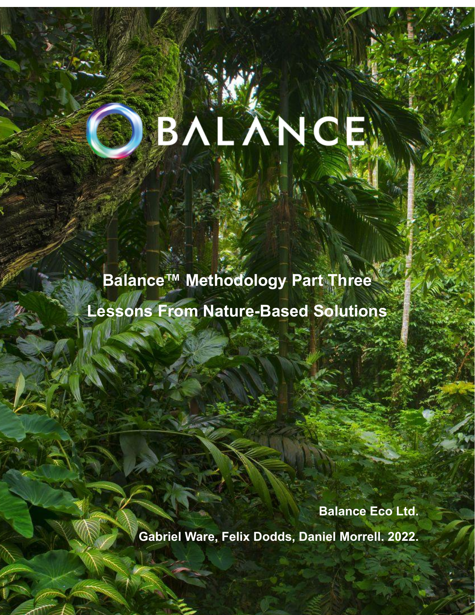# BALANCE

**Balance™ Methodology Part Three Lessons From Nature-Based Solutions**

> **Balance Eco Ltd. Gabriel Ware, Felix Dodds, Daniel Morrell. 2022.**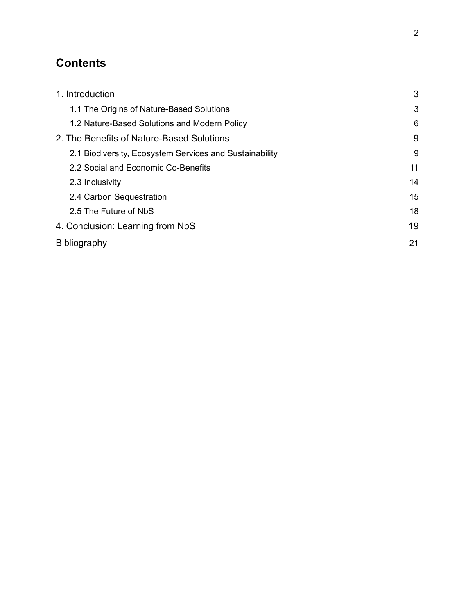# **Contents**

| 1. Introduction                                         | 3  |
|---------------------------------------------------------|----|
| 1.1 The Origins of Nature-Based Solutions               | 3  |
| 1.2 Nature-Based Solutions and Modern Policy            | 6  |
| 2. The Benefits of Nature-Based Solutions               | 9  |
| 2.1 Biodiversity, Ecosystem Services and Sustainability | 9  |
| 2.2 Social and Economic Co-Benefits                     | 11 |
| 2.3 Inclusivity                                         | 14 |
| 2.4 Carbon Sequestration                                | 15 |
| 2.5 The Future of NbS                                   | 18 |
| 4. Conclusion: Learning from NbS                        | 19 |
| <b>Bibliography</b>                                     | 21 |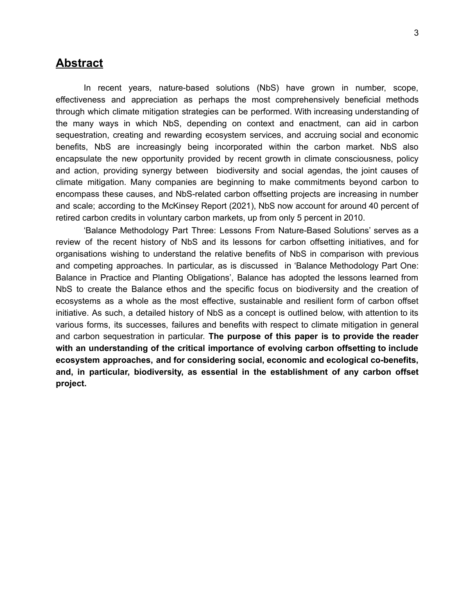# **Abstract**

In recent years, nature-based solutions (NbS) have grown in number, scope, effectiveness and appreciation as perhaps the most comprehensively beneficial methods through which climate mitigation strategies can be performed. With increasing understanding of the many ways in which NbS, depending on context and enactment, can aid in carbon sequestration, creating and rewarding ecosystem services, and accruing social and economic benefits, NbS are increasingly being incorporated within the carbon market. NbS also encapsulate the new opportunity provided by recent growth in climate consciousness, policy and action, providing synergy between biodiversity and social agendas, the joint causes of climate mitigation. Many companies are beginning to make commitments beyond carbon to encompass these causes, and NbS-related carbon offsetting projects are increasing in number and scale; according to the McKinsey Report (2021), NbS now account for around 40 percent of retired carbon credits in voluntary carbon markets, up from only 5 percent in 2010.

'Balance Methodology Part Three: Lessons From Nature-Based Solutions' serves as a review of the recent history of NbS and its lessons for carbon offsetting initiatives, and for organisations wishing to understand the relative benefits of NbS in comparison with previous and competing approaches. In particular, as is discussed in 'Balance Methodology Part One: Balance in Practice and Planting Obligations', Balance has adopted the lessons learned from NbS to create the Balance ethos and the specific focus on biodiversity and the creation of ecosystems as a whole as the most effective, sustainable and resilient form of carbon offset initiative. As such, a detailed history of NbS as a concept is outlined below, with attention to its various forms, its successes, failures and benefits with respect to climate mitigation in general and carbon sequestration in particular. **The purpose of this paper is to provide the reader with an understanding of the critical importance of evolving carbon offsetting to include ecosystem approaches, and for considering social, economic and ecological co-benefits, and, in particular, biodiversity, as essential in the establishment of any carbon offset project.**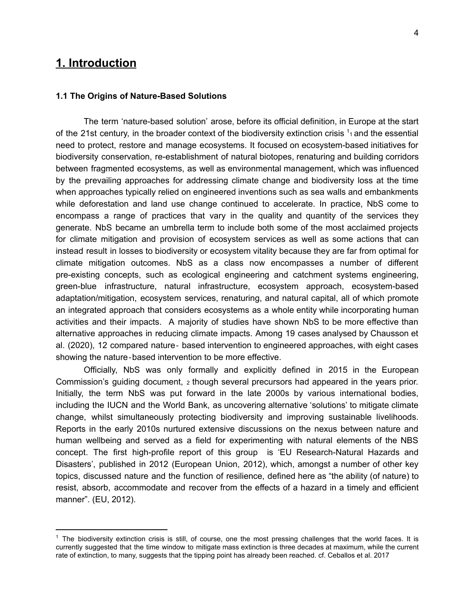# **1. Introduction**

### <span id="page-3-0"></span>**1.1 The Origins of Nature-Based Solutions**

The term 'nature-based solution' arose, before its official definition, in Europe at the start of the 21st century, in the broader context of the biodiversity extinction crisis  $1<sub>1</sub>$  and the essential need to protect, restore and manage ecosystems. It focused on ecosystem-based initiatives for biodiversity conservation, re-establishment of natural biotopes, renaturing and building corridors between fragmented ecosystems, as well as environmental management, which was influenced by the prevailing approaches for addressing climate change and biodiversity loss at the time when approaches typically relied on engineered inventions such as sea walls and embankments while deforestation and land use change continued to accelerate. In practice, NbS come to encompass a range of practices that vary in the quality and quantity of the services they generate. NbS became an umbrella term to include both some of the most acclaimed projects for climate mitigation and provision of ecosystem services as well as some actions that can instead result in losses to biodiversity or ecosystem vitality because they are far from optimal for climate mitigation outcomes. NbS as a class now encompasses a number of different pre-existing concepts, such as ecological engineering and catchment systems engineering, green-blue infrastructure, natural infrastructure, ecosystem approach, ecosystem-based adaptation/mitigation, ecosystem services, renaturing, and natural capital, all of which promote an integrated approach that considers ecosystems as a whole entity while incorporating human activities and their impacts. A majority of studies have shown NbS to be more effective than alternative approaches in reducing climate impacts. Among 19 cases analysed by Chausson et al. (2020), 12 compared nature‐ based intervention to engineered approaches, with eight cases showing the nature‐based intervention to be more effective.

Officially, NbS was only formally and explicitly defined in 2015 in the European Commission's guiding document, <sup>2</sup> though several precursors had appeared in the years prior. Initially, the term NbS was put forward in the late 2000s by various international bodies, including the IUCN and the World Bank, as uncovering alternative 'solutions' to mitigate climate change, whilst simultaneously protecting biodiversity and improving sustainable livelihoods. Reports in the early 2010s nurtured extensive discussions on the nexus between nature and human wellbeing and served as a field for experimenting with natural elements of the NBS concept. The first high-profile report of this group is 'EU Research-Natural Hazards and Disasters', published in 2012 (European Union, 2012), which, amongst a number of other key topics, discussed nature and the function of resilience, defined here as "the ability (of nature) to resist, absorb, accommodate and recover from the effects of a hazard in a timely and efficient manner". (EU, 2012).

 $<sup>1</sup>$  The biodiversity extinction crisis is still, of course, one the most pressing challenges that the world faces. It is</sup> currently suggested that the time window to mitigate mass extinction is three decades at maximum, while the current rate of extinction, to many, suggests that the tipping point has already been reached. cf. Ceballos et al. 2017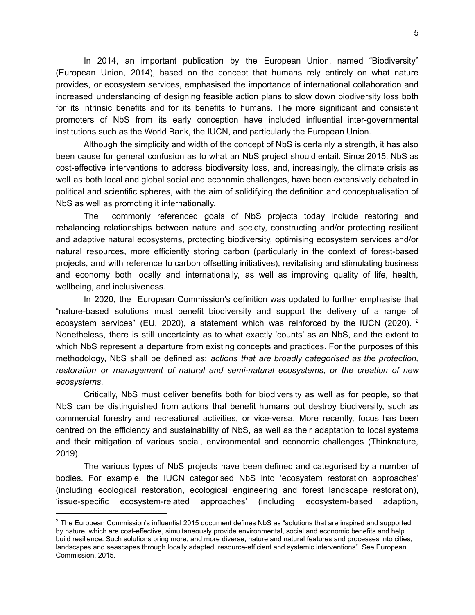In 2014, an important publication by the European Union, named "Biodiversity" (European Union, 2014), based on the concept that humans rely entirely on what nature provides, or ecosystem services, emphasised the importance of international collaboration and increased understanding of designing feasible action plans to slow down biodiversity loss both for its intrinsic benefits and for its benefits to humans. The more significant and consistent promoters of NbS from its early conception have included influential inter-governmental institutions such as the World Bank, the IUCN, and particularly the European Union.

Although the simplicity and width of the concept of NbS is certainly a strength, it has also been cause for general confusion as to what an NbS project should entail. Since 2015, NbS as cost-effective interventions to address biodiversity loss, and, increasingly, the climate crisis as well as both local and global social and economic challenges, have been extensively debated in political and scientific spheres, with the aim of solidifying the definition and conceptualisation of NbS as well as promoting it internationally.

The commonly referenced goals of NbS projects today include restoring and rebalancing relationships between nature and society, constructing and/or protecting resilient and adaptive natural ecosystems, protecting biodiversity, optimising ecosystem services and/or natural resources, more efficiently storing carbon (particularly in the context of forest-based projects, and with reference to carbon offsetting initiatives), revitalising and stimulating business and economy both locally and internationally, as well as improving quality of life, health, wellbeing, and inclusiveness.

In 2020, the European Commission's definition was updated to further emphasise that "nature-based solutions must benefit biodiversity and support the delivery of a range of ecosystem services" (EU, 2020), a statement which was reinforced by the IUCN (2020). <sup>2</sup> Nonetheless, there is still uncertainty as to what exactly 'counts' as an NbS, and the extent to which NbS represent a departure from existing concepts and practices. For the purposes of this methodology, NbS shall be defined as: *actions that are broadly categorised as the protection, restoration or management of natural and semi-natural ecosystems, or the creation of new ecosystems*.

Critically, NbS must deliver benefits both for biodiversity as well as for people, so that NbS can be distinguished from actions that benefit humans but destroy biodiversity, such as commercial forestry and recreational activities, or vice-versa. More recently, focus has been centred on the efficiency and sustainability of NbS, as well as their adaptation to local systems and their mitigation of various social, environmental and economic challenges (Thinknature, 2019).

The various types of NbS projects have been defined and categorised by a number of bodies. For example, the IUCN categorised NbS into 'ecosystem restoration approaches' (including ecological restoration, ecological engineering and forest landscape restoration), 'issue-specific ecosystem-related approaches' (including ecosystem-based adaption,

 $2$  The European Commission's influential 2015 document defines NbS as "solutions that are inspired and supported by nature, which are cost-effective, simultaneously provide environmental, social and economic benefits and help build resilience. Such solutions bring more, and more diverse, nature and natural features and processes into cities, landscapes and seascapes through locally adapted, resource-efficient and systemic interventions". See European Commission, 2015.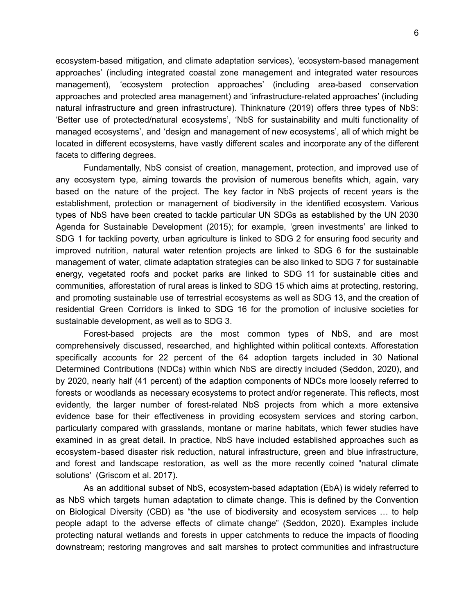ecosystem-based mitigation, and climate adaptation services), 'ecosystem-based management approaches' (including integrated coastal zone management and integrated water resources management), 'ecosystem protection approaches' (including area-based conservation approaches and protected area management) and 'infrastructure-related approaches' (including natural infrastructure and green infrastructure). Thinknature (2019) offers three types of NbS: 'Better use of protected/natural ecosystems', 'NbS for sustainability and multi functionality of managed ecosystems', and 'design and management of new ecosystems', all of which might be located in different ecosystems, have vastly different scales and incorporate any of the different facets to differing degrees.

Fundamentally, NbS consist of creation, management, protection, and improved use of any ecosystem type, aiming towards the provision of numerous benefits which, again, vary based on the nature of the project. The key factor in NbS projects of recent years is the establishment, protection or management of biodiversity in the identified ecosystem. Various types of NbS have been created to tackle particular UN SDGs as established by the UN 2030 Agenda for Sustainable Development (2015); for example, 'green investments' are linked to SDG 1 for tackling poverty, urban agriculture is linked to SDG 2 for ensuring food security and improved nutrition, natural water retention projects are linked to SDG 6 for the sustainable management of water, climate adaptation strategies can be also linked to SDG 7 for sustainable energy, vegetated roofs and pocket parks are linked to SDG 11 for sustainable cities and communities, afforestation of rural areas is linked to SDG 15 which aims at protecting, restoring, and promoting sustainable use of terrestrial ecosystems as well as SDG 13, and the creation of residential Green Corridors is linked to SDG 16 for the promotion of inclusive societies for sustainable development, as well as to SDG 3.

Forest-based projects are the most common types of NbS, and are most comprehensively discussed, researched, and highlighted within political contexts. Afforestation specifically accounts for 22 percent of the 64 adoption targets included in 30 National Determined Contributions (NDCs) within which NbS are directly included (Seddon, 2020), and by 2020, nearly half (41 percent) of the adaption components of NDCs more loosely referred to forests or woodlands as necessary ecosystems to protect and/or regenerate. This reflects, most evidently, the larger number of forest-related NbS projects from which a more extensive evidence base for their effectiveness in providing ecosystem services and storing carbon, particularly compared with grasslands, montane or marine habitats, which fewer studies have examined in as great detail. In practice, NbS have included established approaches such as ecosystem‐based disaster risk reduction, natural infrastructure, green and blue infrastructure, and forest and landscape restoration, as well as the more recently coined "natural climate solutions' (Griscom et al. 2017).

As an additional subset of NbS, ecosystem-based adaptation (EbA) is widely referred to as NbS which targets human adaptation to climate change. This is defined by the Convention on Biological Diversity (CBD) as "the use of biodiversity and ecosystem services … to help people adapt to the adverse effects of climate change" (Seddon, 2020). Examples include protecting natural wetlands and forests in upper catchments to reduce the impacts of flooding downstream; restoring mangroves and salt marshes to protect communities and infrastructure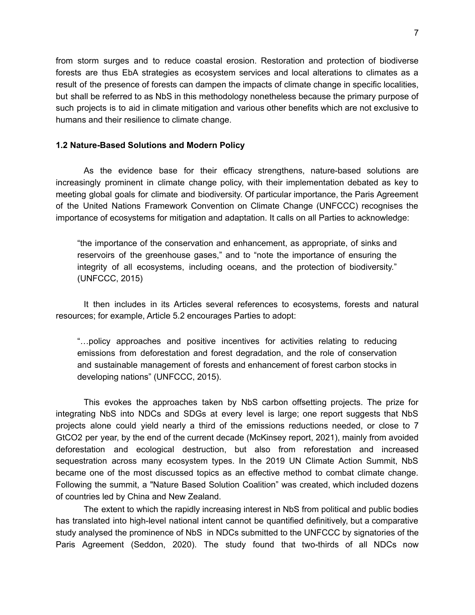from storm surges and to reduce coastal erosion. Restoration and protection of biodiverse forests are thus EbA strategies as ecosystem services and local alterations to climates as a result of the presence of forests can dampen the impacts of climate change in specific localities, but shall be referred to as NbS in this methodology nonetheless because the primary purpose of such projects is to aid in climate mitigation and various other benefits which are not exclusive to humans and their resilience to climate change.

### <span id="page-6-0"></span>**1.2 Nature-Based Solutions and Modern Policy**

As the evidence base for their efficacy strengthens, nature-based solutions are increasingly prominent in climate change policy, with their implementation debated as key to meeting global goals for climate and biodiversity. Of particular importance, the Paris Agreement of the United Nations Framework Convention on Climate Change (UNFCCC) recognises the importance of ecosystems for mitigation and adaptation. It calls on all Parties to acknowledge:

"the importance of the conservation and enhancement, as appropriate, of sinks and reservoirs of the greenhouse gases," and to "note the importance of ensuring the integrity of all ecosystems, including oceans, and the protection of biodiversity." (UNFCCC, 2015)

It then includes in its Articles several references to ecosystems, forests and natural resources; for example, Article 5.2 encourages Parties to adopt:

"…policy approaches and positive incentives for activities relating to reducing emissions from deforestation and forest degradation, and the role of conservation and sustainable management of forests and enhancement of forest carbon stocks in developing nations" (UNFCCC, 2015).

This evokes the approaches taken by NbS carbon offsetting projects. The prize for integrating NbS into NDCs and SDGs at every level is large; one report suggests that NbS projects alone could yield nearly a third of the emissions reductions needed, or close to 7 GtCO2 per year, by the end of the current decade (McKinsey report, 2021), mainly from avoided deforestation and ecological destruction, but also from reforestation and increased sequestration across many ecosystem types. In the 2019 UN Climate Action Summit, NbS became one of the most discussed topics as an effective method to combat climate change. Following the summit, a "Nature Based Solution Coalition" was created, which included dozens of countries led by China and New Zealand.

The extent to which the rapidly increasing interest in NbS from political and public bodies has translated into high-level national intent cannot be quantified definitively, but a comparative study analysed the prominence of NbS in NDCs submitted to the UNFCCC by signatories of the Paris Agreement (Seddon, 2020). The study found that two-thirds of all NDCs now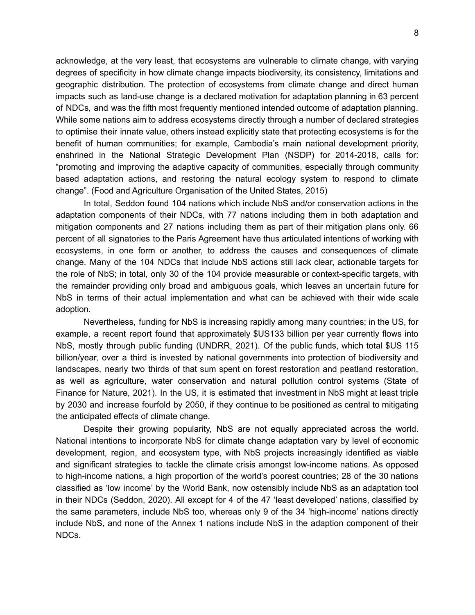acknowledge, at the very least, that ecosystems are vulnerable to climate change, with varying degrees of specificity in how climate change impacts biodiversity, its consistency, limitations and geographic distribution. The protection of ecosystems from climate change and direct human impacts such as land-use change is a declared motivation for adaptation planning in 63 percent of NDCs, and was the fifth most frequently mentioned intended outcome of adaptation planning. While some nations aim to address ecosystems directly through a number of declared strategies to optimise their innate value, others instead explicitly state that protecting ecosystems is for the benefit of human communities; for example, Cambodia's main national development priority, enshrined in the National Strategic Development Plan (NSDP) for 2014-2018, calls for: "promoting and improving the adaptive capacity of communities, especially through community based adaptation actions, and restoring the natural ecology system to respond to climate change". (Food and Agriculture Organisation of the United States, 2015)

In total, Seddon found 104 nations which include NbS and/or conservation actions in the adaptation components of their NDCs, with 77 nations including them in both adaptation and mitigation components and 27 nations including them as part of their mitigation plans only. 66 percent of all signatories to the Paris Agreement have thus articulated intentions of working with ecosystems, in one form or another, to address the causes and consequences of climate change. Many of the 104 NDCs that include NbS actions still lack clear, actionable targets for the role of NbS; in total, only 30 of the 104 provide measurable or context-specific targets, with the remainder providing only broad and ambiguous goals, which leaves an uncertain future for NbS in terms of their actual implementation and what can be achieved with their wide scale adoption.

Nevertheless, funding for NbS is increasing rapidly among many countries; in the US, for example, a recent report found that approximately \$US133 billion per year currently flows into NbS, mostly through public funding (UNDRR, 2021). Of the public funds, which total \$US 115 billion/year, over a third is invested by national governments into protection of biodiversity and landscapes, nearly two thirds of that sum spent on forest restoration and peatland restoration, as well as agriculture, water conservation and natural pollution control systems (State of Finance for Nature, 2021). In the US, it is estimated that investment in NbS might at least triple by 2030 and increase fourfold by 2050, if they continue to be positioned as central to mitigating the anticipated effects of climate change.

Despite their growing popularity, NbS are not equally appreciated across the world. National intentions to incorporate NbS for climate change adaptation vary by level of economic development, region, and ecosystem type, with NbS projects increasingly identified as viable and significant strategies to tackle the climate crisis amongst low-income nations. As opposed to high-income nations, a high proportion of the world's poorest countries; 28 of the 30 nations classified as 'low income' by the World Bank, now ostensibly include NbS as an adaptation tool in their NDCs (Seddon, 2020). All except for 4 of the 47 'least developed' nations, classified by the same parameters, include NbS too, whereas only 9 of the 34 'high-income' nations directly include NbS, and none of the Annex 1 nations include NbS in the adaption component of their NDCs.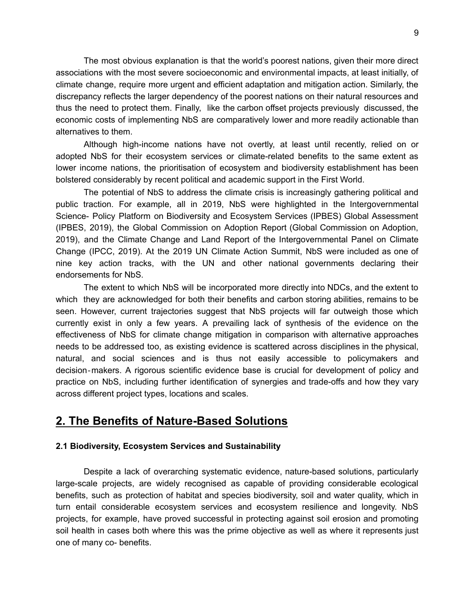The most obvious explanation is that the world's poorest nations, given their more direct associations with the most severe socioeconomic and environmental impacts, at least initially, of climate change, require more urgent and efficient adaptation and mitigation action. Similarly, the discrepancy reflects the larger dependency of the poorest nations on their natural resources and thus the need to protect them. Finally, like the carbon offset projects previously discussed, the economic costs of implementing NbS are comparatively lower and more readily actionable than alternatives to them.

Although high-income nations have not overtly, at least until recently, relied on or adopted NbS for their ecosystem services or climate-related benefits to the same extent as lower income nations, the prioritisation of ecosystem and biodiversity establishment has been bolstered considerably by recent political and academic support in the First World.

The potential of NbS to address the climate crisis is increasingly gathering political and public traction. For example, all in 2019, NbS were highlighted in the Intergovernmental Science- Policy Platform on Biodiversity and Ecosystem Services (IPBES) Global Assessment (IPBES, 2019), the Global Commission on Adoption Report (Global Commission on Adoption, 2019), and the Climate Change and Land Report of the Intergovernmental Panel on Climate Change (IPCC, 2019). At the 2019 UN Climate Action Summit, NbS were included as one of nine key action tracks, with the UN and other national governments declaring their endorsements for NbS.

The extent to which NbS will be incorporated more directly into NDCs, and the extent to which they are acknowledged for both their benefits and carbon storing abilities, remains to be seen. However, current trajectories suggest that NbS projects will far outweigh those which currently exist in only a few years. A prevailing lack of synthesis of the evidence on the effectiveness of NbS for climate change mitigation in comparison with alternative approaches needs to be addressed too, as existing evidence is scattered across disciplines in the physical, natural, and social sciences and is thus not easily accessible to policymakers and decision‐makers. A rigorous scientific evidence base is crucial for development of policy and practice on NbS, including further identification of synergies and trade-offs and how they vary across different project types, locations and scales.

# <span id="page-8-0"></span>**2. The Benefits of Nature-Based Solutions**

### <span id="page-8-1"></span>**2.1 Biodiversity, Ecosystem Services and Sustainability**

Despite a lack of overarching systematic evidence, nature-based solutions, particularly large-scale projects, are widely recognised as capable of providing considerable ecological benefits, such as protection of habitat and species biodiversity, soil and water quality, which in turn entail considerable ecosystem services and ecosystem resilience and longevity. NbS projects, for example, have proved successful in protecting against soil erosion and promoting soil health in cases both where this was the prime objective as well as where it represents just one of many co- benefits.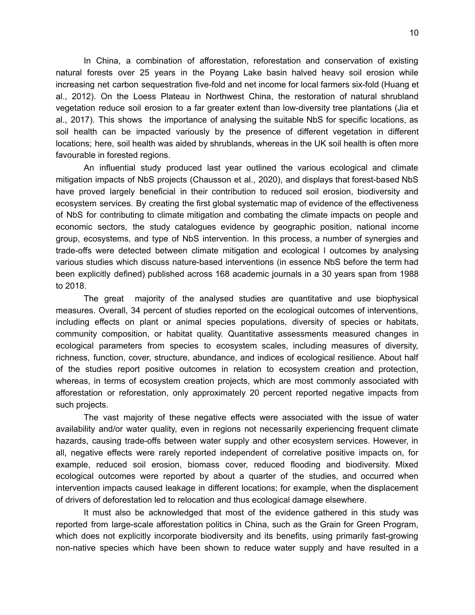In China, a combination of afforestation, reforestation and conservation of existing natural forests over 25 years in the Poyang Lake basin halved heavy soil erosion while increasing net carbon sequestration five-fold and net income for local farmers six-fold (Huang et al., 2012). On the Loess Plateau in Northwest China, the restoration of natural shrubland vegetation reduce soil erosion to a far greater extent than low-diversity tree plantations (Jia et al., 2017). This shows the importance of analysing the suitable NbS for specific locations, as soil health can be impacted variously by the presence of different vegetation in different locations; here, soil health was aided by shrublands, whereas in the UK soil health is often more favourable in forested regions.

An influential study produced last year outlined the various ecological and climate mitigation impacts of NbS projects (Chausson et al., 2020), and displays that forest-based NbS have proved largely beneficial in their contribution to reduced soil erosion, biodiversity and ecosystem services. By creating the first global systematic map of evidence of the effectiveness of NbS for contributing to climate mitigation and combating the climate impacts on people and economic sectors, the study catalogues evidence by geographic position, national income group, ecosystems, and type of NbS intervention. In this process, a number of synergies and trade-offs were detected between climate mitigation and ecological l outcomes by analysing various studies which discuss nature-based interventions (in essence NbS before the term had been explicitly defined) published across 168 academic journals in a 30 years span from 1988 to 2018.

The great majority of the analysed studies are quantitative and use biophysical measures. Overall, 34 percent of studies reported on the ecological outcomes of interventions, including effects on plant or animal species populations, diversity of species or habitats, community composition, or habitat quality. Quantitative assessments measured changes in ecological parameters from species to ecosystem scales, including measures of diversity, richness, function, cover, structure, abundance, and indices of ecological resilience. About half of the studies report positive outcomes in relation to ecosystem creation and protection, whereas, in terms of ecosystem creation projects, which are most commonly associated with afforestation or reforestation, only approximately 20 percent reported negative impacts from such projects.

The vast majority of these negative effects were associated with the issue of water availability and/or water quality, even in regions not necessarily experiencing frequent climate hazards, causing trade-offs between water supply and other ecosystem services. However, in all, negative effects were rarely reported independent of correlative positive impacts on, for example, reduced soil erosion, biomass cover, reduced flooding and biodiversity. Mixed ecological outcomes were reported by about a quarter of the studies, and occurred when intervention impacts caused leakage in different locations; for example, when the displacement of drivers of deforestation led to relocation and thus ecological damage elsewhere.

It must also be acknowledged that most of the evidence gathered in this study was reported from large-scale afforestation politics in China, such as the Grain for Green Program, which does not explicitly incorporate biodiversity and its benefits, using primarily fast-growing non-native species which have been shown to reduce water supply and have resulted in a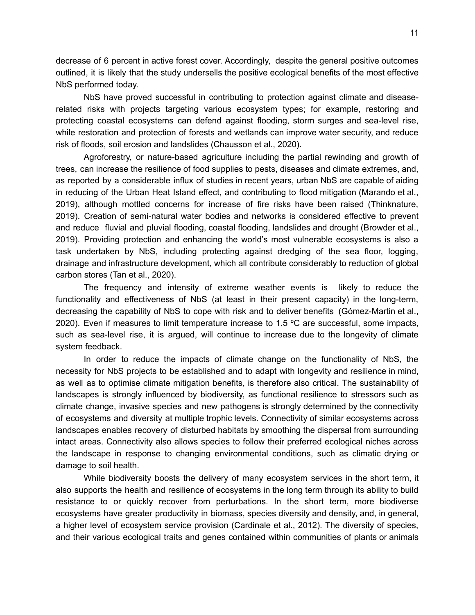decrease of 6 percent in active forest cover. Accordingly, despite the general positive outcomes outlined, it is likely that the study undersells the positive ecological benefits of the most effective NbS performed today.

NbS have proved successful in contributing to protection against climate and diseaserelated risks with projects targeting various ecosystem types; for example, restoring and protecting coastal ecosystems can defend against flooding, storm surges and sea-level rise, while restoration and protection of forests and wetlands can improve water security, and reduce risk of floods, soil erosion and landslides (Chausson et al., 2020).

Agroforestry, or nature-based agriculture including the partial rewinding and growth of trees, can increase the resilience of food supplies to pests, diseases and climate extremes, and, as reported by a considerable influx of studies in recent years, urban NbS are capable of aiding in reducing of the Urban Heat Island effect, and contributing to flood mitigation (Marando et al., 2019), although mottled concerns for increase of fire risks have been raised (Thinknature, 2019). Creation of semi-natural water bodies and networks is considered effective to prevent and reduce fluvial and pluvial flooding, coastal flooding, landslides and drought (Browder et al., 2019). Providing protection and enhancing the world's most vulnerable ecosystems is also a task undertaken by NbS, including protecting against dredging of the sea floor, logging, drainage and infrastructure development, which all contribute considerably to reduction of global carbon stores (Tan et al., 2020).

The frequency and intensity of extreme weather events is likely to reduce the functionality and effectiveness of NbS (at least in their present capacity) in the long-term, decreasing the capability of NbS to cope with risk and to deliver benefits (Gómez-Martin et al., 2020). Even if measures to limit temperature increase to 1.5 ºC are successful, some impacts, such as sea-level rise, it is argued, will continue to increase due to the longevity of climate system feedback.

In order to reduce the impacts of climate change on the functionality of NbS, the necessity for NbS projects to be established and to adapt with longevity and resilience in mind, as well as to optimise climate mitigation benefits, is therefore also critical. The sustainability of landscapes is strongly influenced by biodiversity, as functional resilience to stressors such as climate change, invasive species and new pathogens is strongly determined by the connectivity of ecosystems and diversity at multiple trophic levels. Connectivity of similar ecosystems across landscapes enables recovery of disturbed habitats by smoothing the dispersal from surrounding intact areas. Connectivity also allows species to follow their preferred ecological niches across the landscape in response to changing environmental conditions, such as climatic drying or damage to soil health.

While biodiversity boosts the delivery of many ecosystem services in the short term, it also supports the health and resilience of ecosystems in the long term through its ability to build resistance to or quickly recover from perturbations. In the short term, more biodiverse ecosystems have greater productivity in biomass, species diversity and density, and, in general, a higher level of ecosystem service provision (Cardinale et al., 2012). The diversity of species, and their various ecological traits and genes contained within communities of plants or animals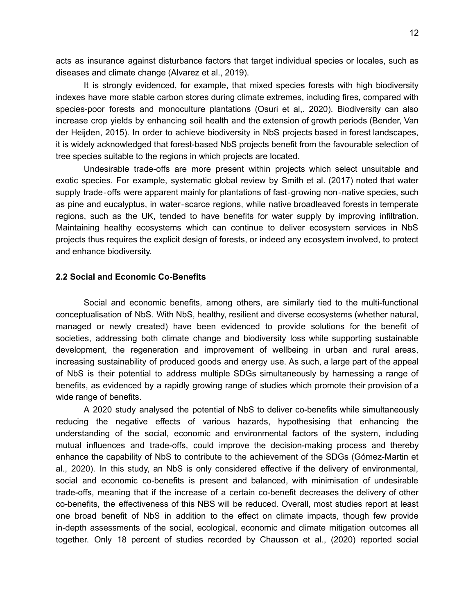acts as insurance against disturbance factors that target individual species or locales, such as diseases and climate change (Alvarez et al., 2019).

It is strongly evidenced, for example, that mixed species forests with high biodiversity indexes have more stable carbon stores during climate extremes, including fires, compared with species-poor forests and monoculture plantations (Osuri et al,. 2020). Biodiversity can also increase crop yields by enhancing soil health and the extension of growth periods (Bender, Van der Heijden, 2015). In order to achieve biodiversity in NbS projects based in forest landscapes, it is widely acknowledged that forest-based NbS projects benefit from the favourable selection of tree species suitable to the regions in which projects are located.

Undesirable trade-offs are more present within projects which select unsuitable and exotic species. For example, systematic global review by Smith et al. (2017) noted that water supply trade-offs were apparent mainly for plantations of fast-growing non-native species, such as pine and eucalyptus, in water‐scarce regions, while native broadleaved forests in temperate regions, such as the UK, tended to have benefits for water supply by improving infiltration. Maintaining healthy ecosystems which can continue to deliver ecosystem services in NbS projects thus requires the explicit design of forests, or indeed any ecosystem involved, to protect and enhance biodiversity.

### <span id="page-11-0"></span>**2.2 Social and Economic Co-Benefits**

Social and economic benefits, among others, are similarly tied to the multi-functional conceptualisation of NbS. With NbS, healthy, resilient and diverse ecosystems (whether natural, managed or newly created) have been evidenced to provide solutions for the benefit of societies, addressing both climate change and biodiversity loss while supporting sustainable development, the regeneration and improvement of wellbeing in urban and rural areas, increasing sustainability of produced goods and energy use. As such, a large part of the appeal of NbS is their potential to address multiple SDGs simultaneously by harnessing a range of benefits, as evidenced by a rapidly growing range of studies which promote their provision of a wide range of benefits.

A 2020 study analysed the potential of NbS to deliver co-benefits while simultaneously reducing the negative effects of various hazards, hypothesising that enhancing the understanding of the social, economic and environmental factors of the system, including mutual influences and trade-offs, could improve the decision-making process and thereby enhance the capability of NbS to contribute to the achievement of the SDGs (Gómez-Martin et al., 2020). In this study, an NbS is only considered effective if the delivery of environmental, social and economic co-benefits is present and balanced, with minimisation of undesirable trade-offs, meaning that if the increase of a certain co-benefit decreases the delivery of other co-benefits, the effectiveness of this NBS will be reduced. Overall, most studies report at least one broad benefit of NbS in addition to the effect on climate impacts, though few provide in-depth assessments of the social, ecological, economic and climate mitigation outcomes all together. Only 18 percent of studies recorded by Chausson et al., (2020) reported social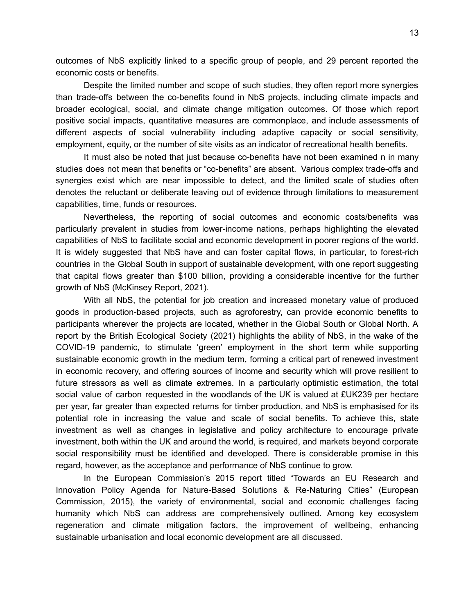outcomes of NbS explicitly linked to a specific group of people, and 29 percent reported the economic costs or benefits.

Despite the limited number and scope of such studies, they often report more synergies than trade-offs between the co-benefits found in NbS projects, including climate impacts and broader ecological, social, and climate change mitigation outcomes. Of those which report positive social impacts, quantitative measures are commonplace, and include assessments of different aspects of social vulnerability including adaptive capacity or social sensitivity, employment, equity, or the number of site visits as an indicator of recreational health benefits.

It must also be noted that just because co-benefits have not been examined n in many studies does not mean that benefits or "co-benefits" are absent. Various complex trade-offs and synergies exist which are near impossible to detect, and the limited scale of studies often denotes the reluctant or deliberate leaving out of evidence through limitations to measurement capabilities, time, funds or resources.

Nevertheless, the reporting of social outcomes and economic costs/benefits was particularly prevalent in studies from lower-income nations, perhaps highlighting the elevated capabilities of NbS to facilitate social and economic development in poorer regions of the world. It is widely suggested that NbS have and can foster capital flows, in particular, to forest-rich countries in the Global South in support of sustainable development, with one report suggesting that capital flows greater than \$100 billion, providing a considerable incentive for the further growth of NbS (McKinsey Report, 2021).

With all NbS, the potential for job creation and increased monetary value of produced goods in production-based projects, such as agroforestry, can provide economic benefits to participants wherever the projects are located, whether in the Global South or Global North. A report by the British Ecological Society (2021) highlights the ability of NbS, in the wake of the COVID-19 pandemic, to stimulate 'green' employment in the short term while supporting sustainable economic growth in the medium term, forming a critical part of renewed investment in economic recovery, and offering sources of income and security which will prove resilient to future stressors as well as climate extremes. In a particularly optimistic estimation, the total social value of carbon requested in the woodlands of the UK is valued at £UK239 per hectare per year, far greater than expected returns for timber production, and NbS is emphasised for its potential role in increasing the value and scale of social benefits. To achieve this, state investment as well as changes in legislative and policy architecture to encourage private investment, both within the UK and around the world, is required, and markets beyond corporate social responsibility must be identified and developed. There is considerable promise in this regard, however, as the acceptance and performance of NbS continue to grow.

In the European Commission's 2015 report titled "Towards an EU Research and Innovation Policy Agenda for Nature-Based Solutions & Re-Naturing Cities" (European Commission, 2015), the variety of environmental, social and economic challenges facing humanity which NbS can address are comprehensively outlined. Among key ecosystem regeneration and climate mitigation factors, the improvement of wellbeing, enhancing sustainable urbanisation and local economic development are all discussed.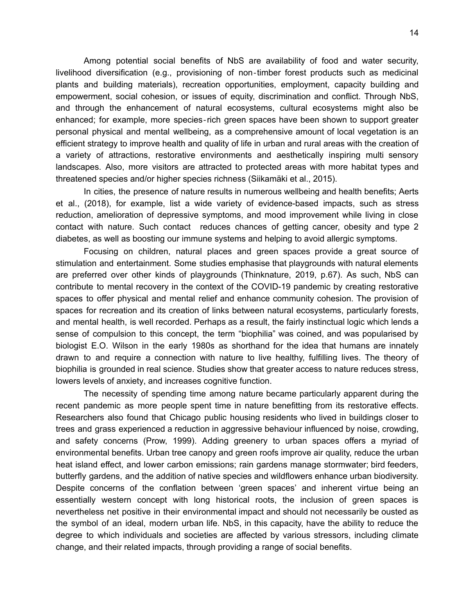Among potential social benefits of NbS are availability of food and water security, livelihood diversification (e.g., provisioning of non‐timber forest products such as medicinal plants and building materials), recreation opportunities, employment, capacity building and empowerment, social cohesion, or issues of equity, discrimination and conflict. Through NbS, and through the enhancement of natural ecosystems, cultural ecosystems might also be enhanced; for example, more species‐rich green spaces have been shown to support greater personal physical and mental wellbeing, as a comprehensive amount of local vegetation is an efficient strategy to improve health and quality of life in urban and rural areas with the creation of a variety of attractions, restorative environments and aesthetically inspiring multi sensory landscapes. Also, more visitors are attracted to protected areas with more habitat types and threatened species and/or higher species richness (Siikamäki et al., 2015).

In cities, the presence of nature results in numerous wellbeing and health benefits; Aerts et al., (2018), for example, list a wide variety of evidence-based impacts, such as stress reduction, amelioration of depressive symptoms, and mood improvement while living in close contact with nature. Such contact reduces chances of getting cancer, obesity and type 2 diabetes, as well as boosting our immune systems and helping to avoid allergic symptoms.

Focusing on children, natural places and green spaces provide a great source of stimulation and entertainment. Some studies emphasise that playgrounds with natural elements are preferred over other kinds of playgrounds (Thinknature, 2019, p.67). As such, NbS can contribute to mental recovery in the context of the COVID-19 pandemic by creating restorative spaces to offer physical and mental relief and enhance community cohesion. The provision of spaces for recreation and its creation of links between natural ecosystems, particularly forests, and mental health, is well recorded. Perhaps as a result, the fairly instinctual logic which lends a sense of compulsion to this concept, the term "biophilia" was coined, and was popularised by biologist E.O. Wilson in the early 1980s as shorthand for the idea that humans are innately drawn to and require a connection with nature to live healthy, fulfilling lives. The theory of biophilia is grounded in real science. Studies show that greater access to nature [reduces](https://www.nature.com/articles/s41598-019-46099-7) stress, lowers levels of [anxiety](https://www.sciencedirect.com/science/article/pii/S0264275120313378?via%3Dihub#bb0345), and [increases](https://citeseerx.ist.psu.edu/viewdoc/download?doi=10.1.1.1066.3149&rep=rep1&type=pdf) cognitive function.

The necessity of spending time among nature became particularly apparent during the recent pandemic as more people spent time in nature benefitting from its restorative effects. Researchers also found that Chicago public housing residents who lived in buildings closer to trees and grass experienced a reduction in [aggressive](http://www.austintexas.gov/sites/default/files/files/Planning/City_Arborist/Aggression_Article.pdf) behaviour influenced by noise, crowding, and safety concerns (Prow, 1999). Adding greenery to urban spaces offers a myriad of environmental benefits. Urban tree [canopy](https://www.nrpa.org/globalassets/research/nowak-heisler-research-paper.pdf) and [green](https://www.epa.gov/heatislands/using-green-roofs-reduce-heat-islands#costs) roofs improve air quality, reduce the urban heat island effect, and lower carbon emissions; rain [gardens](https://link.springer.com/article/10.1007/s11355-016-0309-3) manage stormwater; bird [feeders,](https://www.freshcoastguardians.com/application/files/4315/5386/6421/MMSD_Urban_Biodiversity_Plan.pdf) butterfly gardens, and the addition of native species and [wildflowers](https://www.freshcoastguardians.com/application/files/4315/5386/6421/MMSD_Urban_Biodiversity_Plan.pdf) enhance urban biodiversity. Despite concerns of the conflation between 'green spaces' and inherent virtue being an essentially western concept with long historical roots, the inclusion of green spaces is nevertheless net positive in their environmental impact and should not necessarily be ousted as the symbol of an ideal, modern urban life. NbS, in this capacity, have the ability to reduce the degree to which individuals and societies are affected by various stressors, including climate change, and their related impacts, through providing a range of social benefits.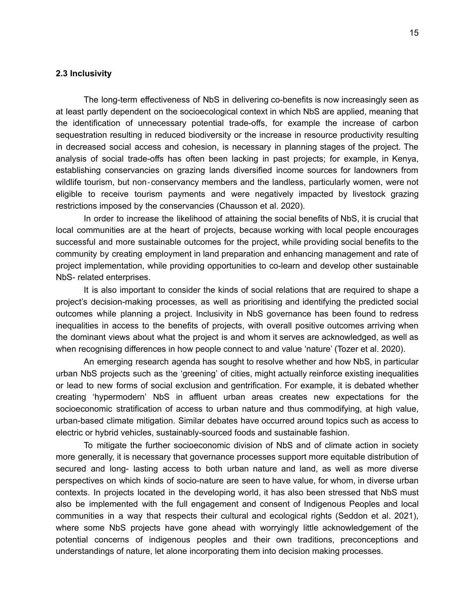### <span id="page-14-0"></span>**2.3 Inclusivity**

The long-term effectiveness of NbS in delivering co-benefits is now increasingly seen as at least partly dependent on the socioecological context in which NbS are applied, meaning that the identification of unnecessary potential trade-offs, for example the increase of carbon sequestration resulting in reduced biodiversity or the increase in resource productivity resulting in decreased social access and cohesion, is necessary in planning stages of the project. The analysis of social trade-offs has often been lacking in past projects; for example, in Kenya, establishing conservancies on grazing lands diversified income sources for landowners from wildlife tourism, but non-conservancy members and the landless, particularly women, were not eligible to receive tourism payments and were negatively impacted by livestock grazing restrictions imposed by the conservancies (Chausson et al. 2020).

In order to increase the likelihood of attaining the social benefits of NbS, it is crucial that local communities are at the heart of projects, because working with local people encourages successful and more sustainable outcomes for the project, while providing social benefits to the community by creating employment in land preparation and enhancing management and rate of project implementation, while providing opportunities to co-learn and develop other sustainable NbS- related enterprises.

It is also important to consider the kinds of social relations that are required to shape a project's decision-making processes, as well as prioritising and identifying the predicted social outcomes while planning a project. Inclusivity in NbS governance has been found to redress inequalities in access to the benefits of projects, with overall positive outcomes arriving when the dominant views about what the project is and whom it serves are acknowledged, as well as when recognising differences in how people connect to and value 'nature' (Tozer et al. 2020).

An emerging research agenda has sought to resolve whether and how NbS, in particular urban NbS projects such as the 'greening' of cities, might actually reinforce existing inequalities or lead to new forms of social exclusion and gentrification. For example, it is debated whether creating 'hypermodern' NbS in affluent urban areas creates new expectations for the socioeconomic stratification of access to urban nature and thus commodifying, at high value, urban-based climate mitigation. Similar debates have occurred around topics such as access to electric or hybrid vehicles, sustainably-sourced foods and sustainable fashion.

To mitigate the further socioeconomic division of NbS and of climate action in society more generally, it is necessary that governance processes support more equitable distribution of secured and long- lasting access to both urban nature and land, as well as more diverse perspectives on which kinds of socio-nature are seen to have value, for whom, in diverse urban contexts. In projects located in the developing world, it has also been stressed that NbS must also be implemented with the full engagement and consent of Indigenous Peoples and local communities in a way that respects their cultural and ecological rights (Seddon et al. 2021), where some NbS projects have gone ahead with worryingly little acknowledgement of the potential concerns of indigenous peoples and their own traditions, preconceptions and understandings of nature, let alone incorporating them into decision making processes.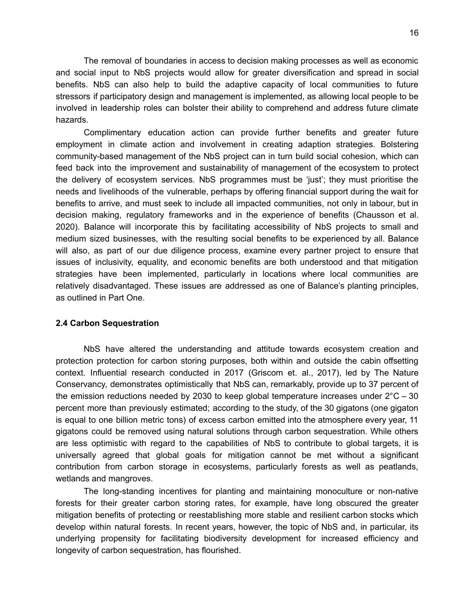The removal of boundaries in access to decision making processes as well as economic and social input to NbS projects would allow for greater diversification and spread in social benefits. NbS can also help to build the adaptive capacity of local communities to future stressors if participatory design and management is implemented, as allowing local people to be involved in leadership roles can bolster their ability to comprehend and address future climate hazards.

Complimentary education action can provide further benefits and greater future employment in climate action and involvement in creating adaption strategies. Bolstering community-based management of the NbS project can in turn build social cohesion, which can feed back into the improvement and sustainability of management of the ecosystem to protect the delivery of ecosystem services. NbS programmes must be 'just'; they must prioritise the needs and livelihoods of the vulnerable, perhaps by offering financial support during the wait for benefits to arrive, and must seek to include all impacted communities, not only in labour, but in decision making, regulatory frameworks and in the experience of benefits (Chausson et al. 2020). Balance will incorporate this by facilitating accessibility of NbS projects to small and medium sized businesses, with the resulting social benefits to be experienced by all. Balance will also, as part of our due diligence process, examine every partner project to ensure that issues of inclusivity, equality, and economic benefits are both understood and that mitigation strategies have been implemented, particularly in locations where local communities are relatively disadvantaged. These issues are addressed as one of Balance's planting principles, as outlined in Part One.

### <span id="page-15-0"></span>**2.4 Carbon Sequestration**

NbS have altered the understanding and attitude towards ecosystem creation and protection protection for carbon storing purposes, both within and outside the cabin offsetting context. Influential research conducted in 2017 (Griscom et. al., 2017), led by The Nature Conservancy, demonstrates optimistically that NbS can, remarkably, provide up to 37 percent of the emission reductions needed by 2030 to keep global temperature increases under  $2^{\circ}$ C – 30 percent more than previously estimated; according to the study, of the 30 gigatons (one gigaton is equal to one billion metric tons) of excess carbon emitted into the atmosphere every year, 11 gigatons could be removed using natural solutions through carbon sequestration. While others are less optimistic with regard to the capabilities of NbS to contribute to global targets, it is universally agreed that global goals for mitigation cannot be met without a significant contribution from carbon storage in ecosystems, particularly forests as well as peatlands, wetlands and mangroves.

The long-standing incentives for planting and maintaining monoculture or non-native forests for their greater carbon storing rates, for example, have long obscured the greater mitigation benefits of protecting or reestablishing more stable and resilient carbon stocks which develop within natural forests. In recent years, however, the topic of NbS and, in particular, its underlying propensity for facilitating biodiversity development for increased efficiency and longevity of carbon sequestration, has flourished.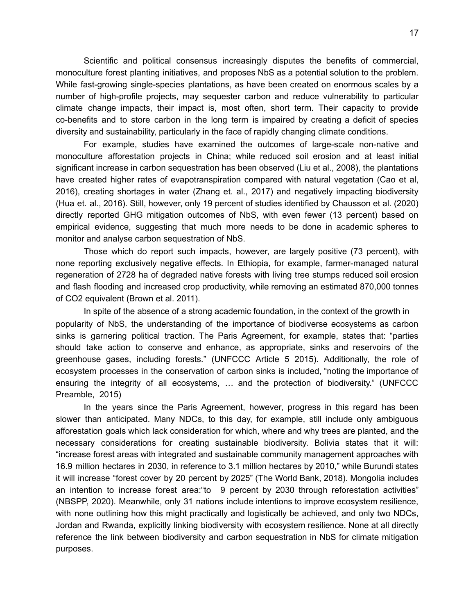Scientific and political consensus increasingly disputes the benefits of commercial, monoculture forest planting initiatives, and proposes NbS as a potential solution to the problem. While fast-growing single-species plantations, as have been created on enormous scales by a number of high-profile projects, may sequester carbon and reduce vulnerability to particular climate change impacts, their impact is, most often, short term. Their capacity to provide co-benefits and to store carbon in the long term is impaired by creating a deficit of species diversity and sustainability, particularly in the face of rapidly changing climate conditions.

For example, studies have examined the outcomes of large-scale non-native and monoculture afforestation projects in China; while reduced soil erosion and at least initial significant increase in carbon sequestration has been observed (Liu et al., 2008), the plantations have created higher rates of evapotranspiration compared with natural vegetation (Cao et al, 2016), creating shortages in water (Zhang et. al., 2017) and negatively impacting biodiversity (Hua et. al., 2016). Still, however, only 19 percent of studies identified by Chausson et al. (2020) directly reported GHG mitigation outcomes of NbS, with even fewer (13 percent) based on empirical evidence, suggesting that much more needs to be done in academic spheres to monitor and analyse carbon sequestration of NbS.

Those which do report such impacts, however, are largely positive (73 percent), with none reporting exclusively negative effects. In Ethiopia, for example, farmer-managed natural regeneration of 2728 ha of degraded native forests with living tree stumps reduced soil erosion and flash flooding and increased crop productivity, while removing an estimated 870,000 tonnes of CO2 equivalent (Brown et al. 2011).

In spite of the absence of a strong academic foundation, in the context of the growth in popularity of NbS, the understanding of the importance of biodiverse ecosystems as carbon sinks is garnering political traction. The Paris Agreement, for example, states that: "parties should take action to conserve and enhance, as appropriate, sinks and reservoirs of the greenhouse gases, including forests." (UNFCCC Article 5 2015). Additionally, the role of ecosystem processes in the conservation of carbon sinks is included, "noting the importance of ensuring the integrity of all ecosystems, … and the protection of biodiversity." (UNFCCC Preamble, 2015)

In the years since the Paris Agreement, however, progress in this regard has been slower than anticipated. Many NDCs, to this day, for example, still include only ambiguous afforestation goals which lack consideration for which, where and why trees are planted, and the necessary considerations for creating sustainable biodiversity. Bolivia states that it will: "increase forest areas with integrated and sustainable community management approaches with 16.9 million hectares in 2030, in reference to 3.1 million hectares by 2010," while Burundi states it will increase "forest cover by 20 percent by 2025" (The World Bank, 2018). Mongolia includes an intention to increase forest area:"to 9 percent by 2030 through reforestation activities" (NBSPP, 2020). Meanwhile, only 31 nations include intentions to improve ecosystem resilience, with none outlining how this might practically and logistically be achieved, and only two NDCs, Jordan and Rwanda, explicitly linking biodiversity with ecosystem resilience. None at all directly reference the link between biodiversity and carbon sequestration in NbS for climate mitigation purposes.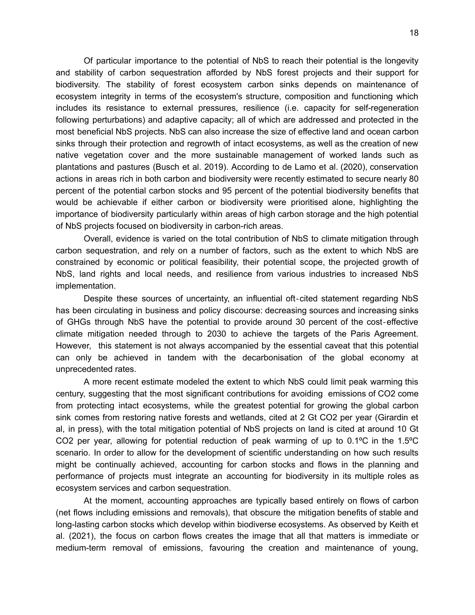Of particular importance to the potential of NbS to reach their potential is the longevity and stability of carbon sequestration afforded by NbS forest projects and their support for biodiversity. The stability of forest ecosystem carbon sinks depends on maintenance of ecosystem integrity in terms of the ecosystem's structure, composition and functioning which includes its resistance to external pressures, resilience (i.e. capacity for self-regeneration following perturbations) and adaptive capacity; all of which are addressed and protected in the most beneficial NbS projects. NbS can also increase the size of effective land and ocean carbon sinks through their protection and regrowth of intact ecosystems, as well as the creation of new native vegetation cover and the more sustainable management of worked lands such as plantations and pastures (Busch et al. 2019). According to de Lamo et al. (2020), conservation actions in areas rich in both carbon and biodiversity were recently estimated to secure nearly 80 percent of the potential carbon stocks and 95 percent of the potential biodiversity benefits that would be achievable if either carbon or biodiversity were prioritised alone, highlighting the importance of biodiversity particularly within areas of high carbon storage and the high potential of NbS projects focused on biodiversity in carbon-rich areas.

Overall, evidence is varied on the total contribution of NbS to climate mitigation through carbon sequestration, and rely on a number of factors, such as the extent to which NbS are constrained by economic or political feasibility, their potential scope, the projected growth of NbS, land rights and local needs, and resilience from various industries to increased NbS implementation.

Despite these sources of uncertainty, an influential oft-cited statement regarding NbS has been circulating in business and policy discourse: decreasing sources and increasing sinks of GHGs through NbS have the potential to provide around 30 percent of the cost‐effective climate mitigation needed through to 2030 to achieve the targets of the Paris Agreement. However, this statement is not always accompanied by the essential caveat that this potential can only be achieved in tandem with the decarbonisation of the global economy at unprecedented rates.

A more recent estimate modeled the extent to which NbS could limit peak warming this century, suggesting that the most significant contributions for avoiding emissions of CO2 come from protecting intact ecosystems, while the greatest potential for growing the global carbon sink comes from restoring native forests and wetlands, cited at 2 Gt CO2 per year (Girardin et al, in press), with the total mitigation potential of NbS projects on land is cited at around 10 Gt CO2 per year, allowing for potential reduction of peak warming of up to 0.1ºC in the 1.5ºC scenario. In order to allow for the development of scientific understanding on how such results might be continually achieved, accounting for carbon stocks and flows in the planning and performance of projects must integrate an accounting for biodiversity in its multiple roles as ecosystem services and carbon sequestration.

At the moment, accounting approaches are typically based entirely on flows of carbon (net flows including emissions and removals), that obscure the mitigation benefits of stable and long-lasting carbon stocks which develop within biodiverse ecosystems. As observed by Keith et al. (2021), the focus on carbon flows creates the image that all that matters is immediate or medium-term removal of emissions, favouring the creation and maintenance of young,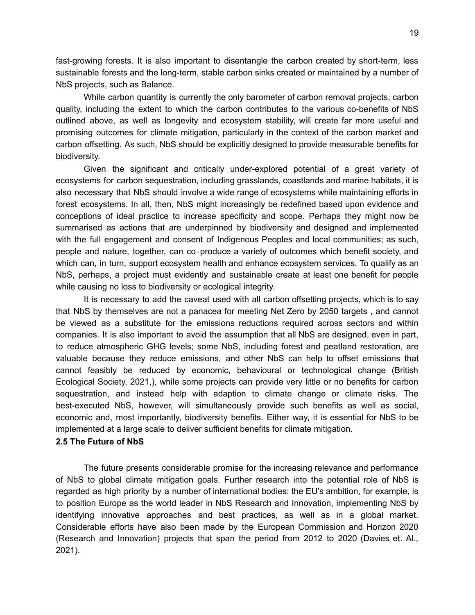fast-growing forests. It is also important to disentangle the carbon created by short-term, less sustainable forests and the long-term, stable carbon sinks created or maintained by a number of NbS projects, such as Balance.

While carbon quantity is currently the only barometer of carbon removal projects, carbon quality, including the extent to which the carbon contributes to the various co-benefits of NbS outlined above, as well as longevity and ecosystem stability, will create far more useful and promising outcomes for climate mitigation, particularly in the context of the carbon market and carbon offsetting. As such, NbS should be explicitly designed to provide measurable benefits for biodiversity.

Given the significant and critically under-explored potential of a great variety of ecosystems for carbon sequestration, including grasslands, coastlands and marine habitats, it is also necessary that NbS should involve a wide range of ecosystems while maintaining efforts in forest ecosystems. In all, then, NbS might increasingly be redefined based upon evidence and conceptions of ideal practice to increase specificity and scope. Perhaps they might now be summarised as actions that are underpinned by biodiversity and designed and implemented with the full engagement and consent of Indigenous Peoples and local communities; as such, people and nature, together, can co‐produce a variety of outcomes which benefit society, and which can, in turn, support ecosystem health and enhance ecosystem services. To qualify as an NbS, perhaps, a project must evidently and sustainable create at least one benefit for people while causing no loss to biodiversity or ecological integrity.

It is necessary to add the caveat used with all carbon offsetting projects, which is to say that NbS by themselves are not a panacea for meeting Net Zero by 2050 targets , and cannot be viewed as a substitute for the emissions reductions required across sectors and within companies. It is also important to avoid the assumption that all NbS are designed, even in part, to reduce atmospheric GHG levels; some NbS, including forest and peatland restoration, are valuable because they reduce emissions, and other NbS can help to offset emissions that cannot feasibly be reduced by economic, behavioural or technological change (British Ecological Society, 2021,), while some projects can provide very little or no benefits for carbon sequestration, and instead help with adaption to climate change or climate risks. The best-executed NbS, however, will simultaneously provide such benefits as well as social, economic and, most importantly, biodiversity benefits. Either way, it is essential for NbS to be implemented at a large scale to deliver sufficient benefits for climate mitigation.

### <span id="page-18-0"></span>**2.5 The Future of NbS**

The future presents considerable promise for the increasing relevance and performance of NbS to global climate mitigation goals. Further research into the potential role of NbS is regarded as high priority by a number of international bodies; the EU's ambition, for example, is to position Europe as the world leader in NbS Research and Innovation, implementing NbS by identifying innovative approaches and best practices, as well as in a global market. Considerable efforts have also been made by the European Commission and Horizon 2020 (Research and Innovation) projects that span the period from 2012 to 2020 (Davies et. Al., 2021).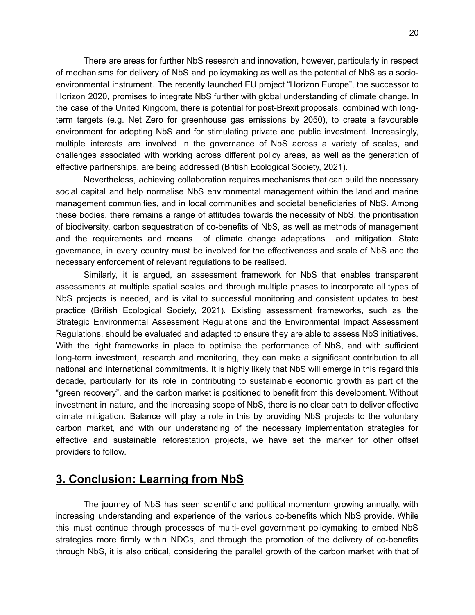There are areas for further NbS research and innovation, however, particularly in respect of mechanisms for delivery of NbS and policymaking as well as the potential of NbS as a socioenvironmental instrument. The recently launched EU project "Horizon Europe", the successor to Horizon 2020, promises to integrate NbS further with global understanding of climate change. In the case of the United Kingdom, there is potential for post-Brexit proposals, combined with longterm targets (e.g. Net Zero for greenhouse gas emissions by 2050), to create a favourable environment for adopting NbS and for stimulating private and public investment. Increasingly, multiple interests are involved in the governance of NbS across a variety of scales, and challenges associated with working across different policy areas, as well as the generation of effective partnerships, are being addressed (British Ecological Society, 2021).

Nevertheless, achieving collaboration requires mechanisms that can build the necessary social capital and help normalise NbS environmental management within the land and marine management communities, and in local communities and societal beneficiaries of NbS. Among these bodies, there remains a range of attitudes towards the necessity of NbS, the prioritisation of biodiversity, carbon sequestration of co-benefits of NbS, as well as methods of management and the requirements and means of climate change adaptations and mitigation. State governance, in every country must be involved for the effectiveness and scale of NbS and the necessary enforcement of relevant regulations to be realised.

Similarly, it is argued, an assessment framework for NbS that enables transparent assessments at multiple spatial scales and through multiple phases to incorporate all types of NbS projects is needed, and is vital to successful monitoring and consistent updates to best practice (British Ecological Society, 2021). Existing assessment frameworks, such as the Strategic Environmental Assessment Regulations and the Environmental Impact Assessment Regulations, should be evaluated and adapted to ensure they are able to assess NbS initiatives. With the right frameworks in place to optimise the performance of NbS, and with sufficient long-term investment, research and monitoring, they can make a significant contribution to all national and international commitments. It is highly likely that NbS will emerge in this regard this decade, particularly for its role in contributing to sustainable economic growth as part of the "green recovery", and the carbon market is positioned to benefit from this development. Without investment in nature, and the increasing scope of NbS, there is no clear path to deliver effective climate mitigation. Balance will play a role in this by providing NbS projects to the voluntary carbon market, and with our understanding of the necessary implementation strategies for effective and sustainable reforestation projects, we have set the marker for other offset providers to follow.

# <span id="page-19-0"></span>**3. Conclusion: Learning from NbS**

The journey of NbS has seen scientific and political momentum growing annually, with increasing understanding and experience of the various co-benefits which NbS provide. While this must continue through processes of multi-level government policymaking to embed NbS strategies more firmly within NDCs, and through the promotion of the delivery of co-benefits through NbS, it is also critical, considering the parallel growth of the carbon market with that of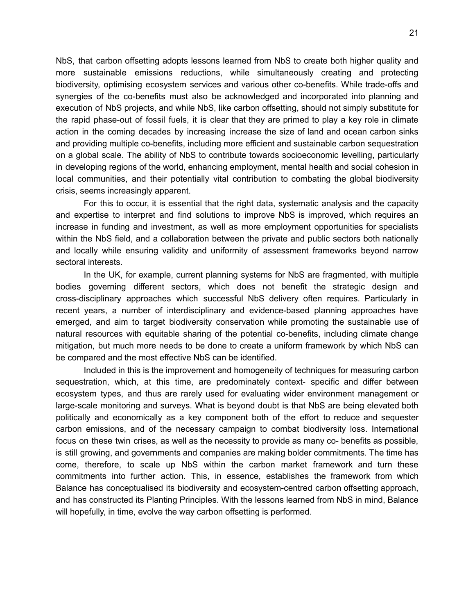NbS, that carbon offsetting adopts lessons learned from NbS to create both higher quality and more sustainable emissions reductions, while simultaneously creating and protecting biodiversity, optimising ecosystem services and various other co-benefits. While trade-offs and synergies of the co-benefits must also be acknowledged and incorporated into planning and execution of NbS projects, and while NbS, like carbon offsetting, should not simply substitute for the rapid phase-out of fossil fuels, it is clear that they are primed to play a key role in climate action in the coming decades by increasing increase the size of land and ocean carbon sinks and providing multiple co-benefits, including more efficient and sustainable carbon sequestration on a global scale. The ability of NbS to contribute towards socioeconomic levelling, particularly in developing regions of the world, enhancing employment, mental health and social cohesion in local communities, and their potentially vital contribution to combating the global biodiversity crisis, seems increasingly apparent.

For this to occur, it is essential that the right data, systematic analysis and the capacity and expertise to interpret and find solutions to improve NbS is improved, which requires an increase in funding and investment, as well as more employment opportunities for specialists within the NbS field, and a collaboration between the private and public sectors both nationally and locally while ensuring validity and uniformity of assessment frameworks beyond narrow sectoral interests.

In the UK, for example, current planning systems for NbS are fragmented, with multiple bodies governing different sectors, which does not benefit the strategic design and cross-disciplinary approaches which successful NbS delivery often requires. Particularly in recent years, a number of interdisciplinary and evidence-based planning approaches have emerged, and aim to target biodiversity conservation while promoting the sustainable use of natural resources with equitable sharing of the potential co-benefits, including climate change mitigation, but much more needs to be done to create a uniform framework by which NbS can be compared and the most effective NbS can be identified.

Included in this is the improvement and homogeneity of techniques for measuring carbon sequestration, which, at this time, are predominately context- specific and differ between ecosystem types, and thus are rarely used for evaluating wider environment management or large-scale monitoring and surveys. What is beyond doubt is that NbS are being elevated both politically and economically as a key component both of the effort to reduce and sequester carbon emissions, and of the necessary campaign to combat biodiversity loss. International focus on these twin crises, as well as the necessity to provide as many co- benefits as possible, is still growing, and governments and companies are making bolder commitments. The time has come, therefore, to scale up NbS within the carbon market framework and turn these commitments into further action. This, in essence, establishes the framework from which Balance has conceptualised its biodiversity and ecosystem-centred carbon offsetting approach, and has constructed its Planting Principles. With the lessons learned from NbS in mind, Balance will hopefully, in time, evolve the way carbon offsetting is performed.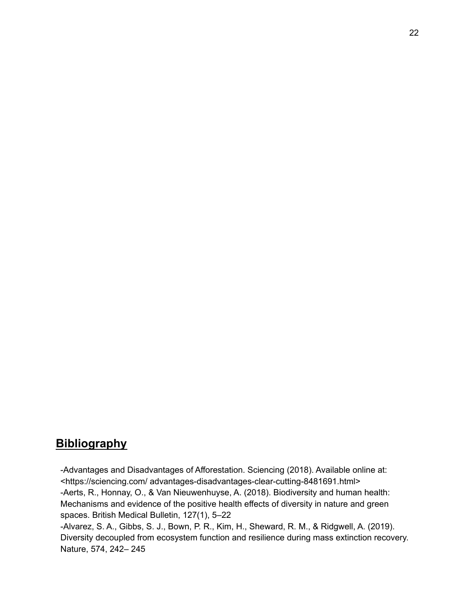# <span id="page-21-0"></span>**Bibliography**

-Advantages and Disadvantages of Afforestation. Sciencing (2018). Available online at: <https://sciencing.com/ advantages-disadvantages-clear-cutting-8481691.html> -Aerts, R., Honnay, O., & Van Nieuwenhuyse, A. (2018). Biodiversity and human health: Mechanisms and evidence of the positive health effects of diversity in nature and green spaces. British Medical Bulletin, 127(1), 5–22

-Alvarez, S. A., Gibbs, S. J., Bown, P. R., Kim, H., Sheward, R. M., & Ridgwell, A. (2019). Diversity decoupled from ecosystem function and resilience during mass extinction recovery. Nature, 574, 242– 245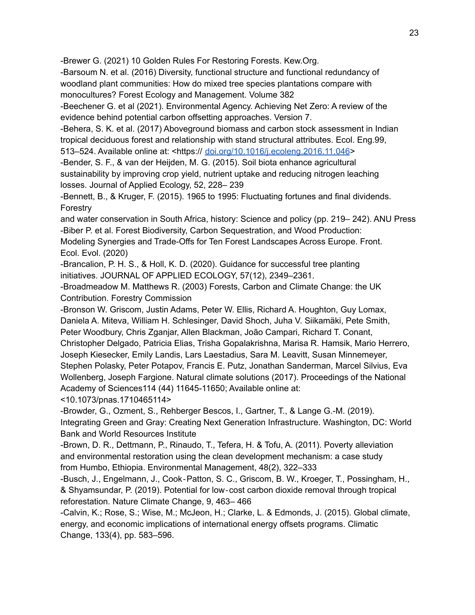-Brewer G. (2021) 10 Golden Rules For Restoring Forests. Kew.Org.

-Barsoum N. et al. (2016) Diversity, functional structure and functional redundancy of woodland plant communities: How do mixed tree species plantations compare with monocultures? Forest Ecology and Management. Volume 382

-Beechener G. et al (2021). Environmental Agency. Achieving Net Zero: A review of the evidence behind potential carbon offsetting approaches. Version 7.

-Behera, S. K. et al. (2017) Aboveground biomass and carbon stock assessment in Indian tropical deciduous forest and relationship with stand structural attributes. Ecol. Eng.99,

513–524. Available online at: <https:// [doi.org/10.1016/j.ecoleng.2016.11.046](http://doi.org/10.1016/j.ecoleng.2016.11.046)>

-Bender, S. F., & van der Heijden, M. G. (2015). Soil biota enhance agricultural sustainability by improving crop yield, nutrient uptake and reducing nitrogen leaching losses. Journal of Applied Ecology, 52, 228– 239

-Bennett, B., & Kruger, F. (2015). 1965 to 1995: Fluctuating fortunes and final dividends. Forestry

and water conservation in South Africa, history: Science and policy (pp. 219– 242). ANU Press -Biber P. et al. Forest Biodiversity, Carbon Sequestration, and Wood Production:

Modeling Synergies and Trade-Offs for Ten Forest Landscapes Across Europe. Front. Ecol. Evol. (2020)

-Brancalion, P. H. S., & Holl, K. D. (2020). Guidance for successful tree planting initiatives. JOURNAL OF APPLIED ECOLOGY, 57(12), 2349–2361.

-Broadmeadow M. Matthews R. (2003) Forests, Carbon and Climate Change: the UK Contribution. Forestry Commission

-Bronson W. Griscom, Justin Adams, Peter W. Ellis, Richard A. Houghton, Guy Lomax, Daniela A. Miteva, William H. Schlesinger, David Shoch, Juha V. Siikamäki, Pete Smith, Peter Woodbury, Chris Zganjar, Allen Blackman, João Campari, Richard T. Conant,

Christopher Delgado, Patricia Elias, Trisha Gopalakrishna, Marisa R. Hamsik, Mario Herrero, Joseph Kiesecker, Emily Landis, Lars Laestadius, Sara M. Leavitt, Susan Minnemeyer, Stephen Polasky, Peter Potapov, Francis E. Putz, Jonathan Sanderman, Marcel Silvius, Eva Wollenberg, Joseph Fargione. Natural climate solutions (2017). Proceedings of the National Academy of Sciences114 (44) 11645-11650; Available online at:

<10.1073/pnas.1710465114>

-Browder, G., Ozment, S., Rehberger Bescos, I., Gartner, T., & Lange G.-M. (2019). Integrating Green and Gray: Creating Next Generation Infrastructure. Washington, DC: World Bank and World Resources Institute

-Brown, D. R., Dettmann, P., Rinaudo, T., Tefera, H. & Tofu, A. (2011). Poverty alleviation and environmental restoration using the clean development mechanism: a case study from Humbo, Ethiopia. Environmental Management, 48(2), 322–333

-Busch, J., Engelmann, J., Cook‐Patton, S. C., Griscom, B. W., Kroeger, T., Possingham, H., & Shyamsundar, P. (2019). Potential for low‐cost carbon dioxide removal through tropical reforestation. Nature Climate Change, 9, 463– 466

-Calvin, K.; Rose, S.; Wise, M.; McJeon, H.; Clarke, L. & Edmonds, J. (2015). Global climate, energy, and economic implications of international energy offsets programs. Climatic Change, 133(4), pp. 583–596.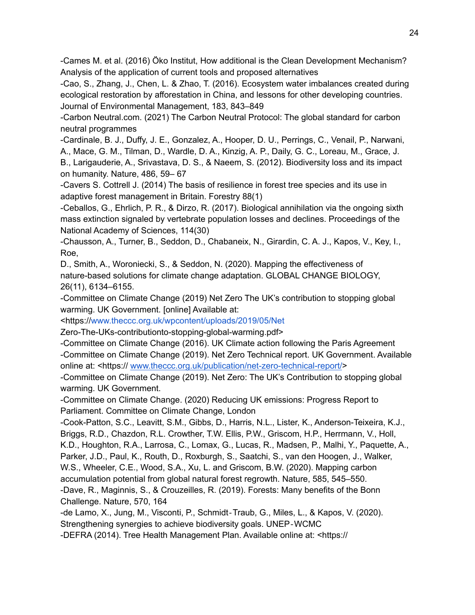-Cames M. et al. (2016) Öko Institut, How additional is the Clean Development Mechanism? Analysis of the application of current tools and proposed alternatives

-Cao, S., Zhang, J., Chen, L. & Zhao, T. (2016). Ecosystem water imbalances created during ecological restoration by afforestation in China, and lessons for other developing countries. Journal of Environmental Management, 183, 843–849

-Carbon Neutral.com. (2021) The Carbon Neutral Protocol: The global standard for carbon neutral programmes

-Cardinale, B. J., Duffy, J. E., Gonzalez, A., Hooper, D. U., Perrings, C., Venail, P., Narwani,

A., Mace, G. M., Tilman, D., Wardle, D. A., Kinzig, A. P., Daily, G. C., Loreau, M., Grace, J.

B., Larigauderie, A., Srivastava, D. S., & Naeem, S. (2012). Biodiversity loss and its impact on humanity. Nature, 486, 59– 67

-Cavers S. Cottrell J. (2014) The basis of resilience in forest tree species and its use in adaptive forest management in Britain. Forestry 88(1)

-Ceballos, G., Ehrlich, P. R., & Dirzo, R. (2017). Biological annihilation via the ongoing sixth mass extinction signaled by vertebrate population losses and declines. Proceedings of the National Academy of Sciences, 114(30)

-Chausson, A., Turner, B., Seddon, D., Chabaneix, N., Girardin, C. A. J., Kapos, V., Key, I., Roe,

D., Smith, A., Woroniecki, S., & Seddon, N. (2020). Mapping the effectiveness of nature-based solutions for climate change adaptation. GLOBAL CHANGE BIOLOGY, 26(11), 6134–6155.

-Committee on Climate Change (2019) Net Zero The UK's contribution to stopping global warming. UK Government. [online] Available at:

<https:/[/www.theccc.org.uk/wpcontent/uploads/2019/05/Net](http://www.theccc.org.uk/wpcontent/uploads/2019/05/Net)

Zero-The-UKs-contributionto-stopping-global-warming.pdf>

-Committee on Climate Change (2016). UK Climate action following the Paris Agreement -Committee on Climate Change (2019). Net Zero Technical report. UK Government. Available online at: <https:// [www.theccc.org.uk/publication/net-zero-technical-report/](http://www.theccc.org.uk/publication/net-zero-technical-report/)>

-Committee on Climate Change (2019). Net Zero: The UK's Contribution to stopping global warming. UK Government.

-Committee on Climate Change. (2020) Reducing UK emissions: Progress Report to Parliament. Committee on Climate Change, London

-Cook-Patton, S.C., Leavitt, S.M., Gibbs, D., Harris, N.L., Lister, K., Anderson-Teixeira, K.J., Briggs, R.D., Chazdon, R.L. Crowther, T.W. Ellis, P.W., Griscom, H.P., Herrmann, V., Holl, K.D., Houghton, R.A., Larrosa, C., Lomax, G., Lucas, R., Madsen, P., Malhi, Y., Paquette, A., Parker, J.D., Paul, K., Routh, D., Roxburgh, S., Saatchi, S., van den Hoogen, J., Walker, W.S., Wheeler, C.E., Wood, S.A., Xu, L. and Griscom, B.W. (2020). Mapping carbon accumulation potential from global natural forest regrowth. Nature, 585, 545–550. -Dave, R., Maginnis, S., & Crouzeilles, R. (2019). Forests: Many benefits of the Bonn

Challenge. Nature, 570, 164

-de Lamo, X., Jung, M., Visconti, P., Schmidt‐Traub, G., Miles, L., & Kapos, V. (2020). Strengthening synergies to achieve biodiversity goals. UNEP‐WCMC

-DEFRA (2014). Tree Health Management Plan. Available online at: <https://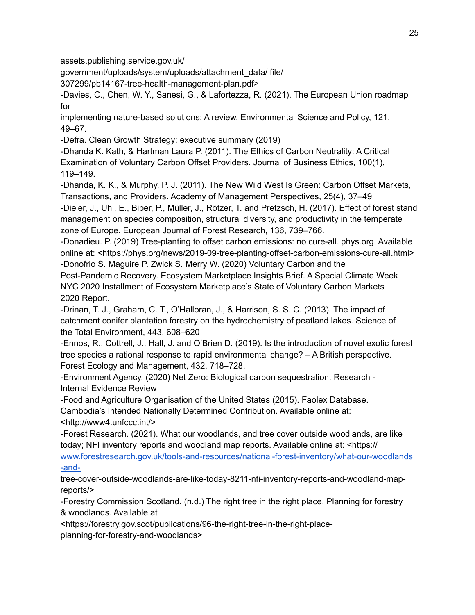assets.publishing.service.gov.uk/

government/uploads/system/uploads/attachment\_data/ file/

307299/pb14167-tree-health-management-plan.pdf>

-Davies, C., Chen, W. Y., Sanesi, G., & Lafortezza, R. (2021). The European Union roadmap for

implementing nature-based solutions: A review. Environmental Science and Policy, 121, 49–67.

-Defra. Clean Growth Strategy: executive summary (2019)

-Dhanda K. Kath, & Hartman Laura P. (2011). The Ethics of Carbon Neutrality: A Critical Examination of Voluntary Carbon Offset Providers. Journal of Business Ethics, 100(1), 119–149.

-Dhanda, K. K., & Murphy, P. J. (2011). The New Wild West Is Green: Carbon Offset Markets, Transactions, and Providers. Academy of Management Perspectives, 25(4), 37–49 -Dieler, J., Uhl, E., Biber, P., Müller, J., Rötzer, T. and Pretzsch, H. (2017). Effect of forest stand management on species composition, structural diversity, and productivity in the temperate

zone of Europe. European Journal of Forest Research, 136, 739–766.

-Donadieu. P. (2019) Tree-planting to offset carbon emissions: no cure-all. phys.org. Available online at: <https://phys.org/news/2019-09-tree-planting-offset-carbon-emissions-cure-all.html> -Donofrio S. Maguire P. Zwick S. Merry W. (2020) Voluntary Carbon and the

Post-Pandemic Recovery. Ecosystem Marketplace Insights Brief. A Special Climate Week NYC 2020 Installment of Ecosystem Marketplace's State of Voluntary Carbon Markets 2020 Report.

-Drinan, T. J., Graham, C. T., O'Halloran, J., & Harrison, S. S. C. (2013). The impact of catchment conifer plantation forestry on the hydrochemistry of peatland lakes. Science of the Total Environment, 443, 608–620

-Ennos, R., Cottrell, J., Hall, J. and O'Brien D. (2019). Is the introduction of novel exotic forest tree species a rational response to rapid environmental change? – A British perspective. Forest Ecology and Management, 432, 718–728.

-Environment Agency. (2020) Net Zero: Biological carbon sequestration. Research - Internal Evidence Review

-Food and Agriculture Organisation of the United States (2015). Faolex Database. Cambodia's Intended Nationally Determined Contribution. Available online at: <http://www4.unfccc.int/>

-Forest Research. (2021). What our woodlands, and tree cover outside woodlands, are like today; NFI inventory reports and woodland map reports. Available online at: <https://

[www.forestresearch.gov.uk/tools-and-resources/national-forest-inventory/what-our-woodlands](http://www.forestresearch.gov.uk/tools-and-resources/national-forest-inventory/what-our-woodlands-and-) [-and-](http://www.forestresearch.gov.uk/tools-and-resources/national-forest-inventory/what-our-woodlands-and-)

tree-cover-outside-woodlands-are-like-today-8211-nfi-inventory-reports-and-woodland-mapreports/>

-Forestry Commission Scotland. (n.d.) The right tree in the right place. Planning for forestry & woodlands. Available at

<https://forestry.gov.scot/publications/96-the-right-tree-in-the-right-placeplanning-for-forestry-and-woodlands>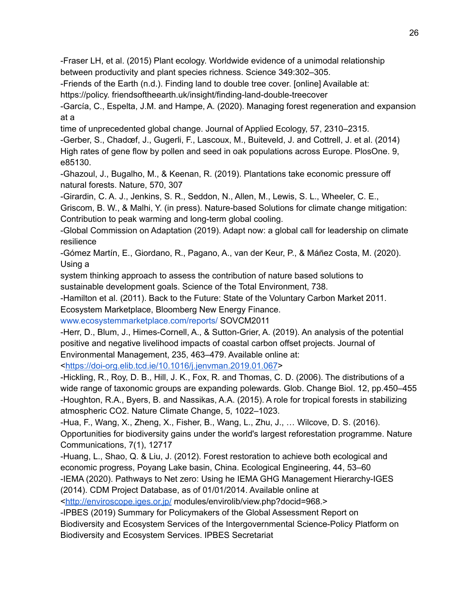-Fraser LH, et al. (2015) Plant ecology. Worldwide evidence of a unimodal relationship between productivity and plant species richness. Science 349:302–305.

-Friends of the Earth (n.d.). Finding land to double tree cover. [online] Available at:

https://policy. friendsoftheearth.uk/insight/finding-land-double-treecover

-García, C., Espelta, J.M. and Hampe, A. (2020). Managing forest regeneration and expansion at a

time of unprecedented global change. Journal of Applied Ecology, 57, 2310–2315.

-Gerber, S., Chadœf, J., Gugerli, F., Lascoux, M., Buiteveld, J. and Cottrell, J. et al. (2014) High rates of gene flow by pollen and seed in oak populations across Europe. PlosOne. 9, e85130.

-Ghazoul, J., Bugalho, M., & Keenan, R. (2019). Plantations take economic pressure off natural forests. Nature, 570, 307

-Girardin, C. A. J., Jenkins, S. R., Seddon, N., Allen, M., Lewis, S. L., Wheeler, C. E.,

Griscom, B. W., & Malhi, Y. (in press). Nature-based Solutions for climate change mitigation: Contribution to peak warming and long-term global cooling.

-Global Commission on Adaptation (2019). Adapt now: a global call for leadership on climate resilience

-Gómez Martín, E., Giordano, R., Pagano, A., van der Keur, P., & Máñez Costa, M. (2020). Using a

system thinking approach to assess the contribution of nature based solutions to sustainable development goals. Science of the Total Environment, 738.

-Hamilton et al. (2011). Back to the Future: State of the Voluntary Carbon Market 2011.

Ecosystem Marketplace, Bloomberg New Energy Finance[.](http://www.ecosystemmarketplace.com/reports/)

[www.ecosystemmarketplace.com/reports/](http://www.ecosystemmarketplace.com/reports/) SOVCM2011

-Herr, D., Blum, J., Himes-Cornell, A., & Sutton-Grier, A. (2019). An analysis of the potential positive and negative livelihood impacts of coastal carbon offset projects. Journal of Environmental Management, 235, 463–479. Available online at:

[<https://doi-org.elib.tcd.ie/10.1016/j.jenvman.2019.01.067](https://doi-org.elib.tcd.ie/10.1016/j.jenvman.2019.01.067)>

-Hickling, R., Roy, D. B., Hill, J. K., Fox, R. and Thomas, C. D. (2006). The distributions of a wide range of taxonomic groups are expanding polewards. Glob. Change Biol. 12, pp.450–455 -Houghton, R.A., Byers, B. and Nassikas, A.A. (2015). A role for tropical forests in stabilizing atmospheric CO2. Nature Climate Change, 5, 1022–1023.

-Hua, F., Wang, X., Zheng, X., Fisher, B., Wang, L., Zhu, J., … Wilcove, D. S. (2016). Opportunities for biodiversity gains under the world's largest reforestation programme. Nature Communications, 7(1), 12717

-Huang, L., Shao, Q. & Liu, J. (2012). Forest restoration to achieve both ecological and economic progress, Poyang Lake basin, China. Ecological Engineering, 44, 53–60 -IEMA (2020). Pathways to Net zero: Using he IEMA GHG Management Hierarchy-IGES

(2014). CDM Project Database, as of 01/01/2014. Available online at

[<http://enviroscope.iges.or.jp/](http://enviroscope.iges.or.jp/) modules/envirolib/view.php?docid=968.>

-IPBES (2019) Summary for Policymakers of the Global Assessment Report on Biodiversity and Ecosystem Services of the Intergovernmental Science-Policy Platform on Biodiversity and Ecosystem Services. IPBES Secretariat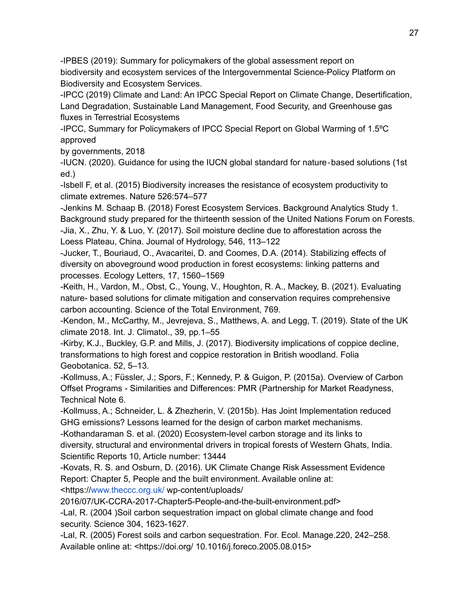-IPBES (2019): Summary for policymakers of the global assessment report on biodiversity and ecosystem services of the Intergovernmental Science-Policy Platform on Biodiversity and Ecosystem Services.

-IPCC (2019) Climate and Land: An IPCC Special Report on Climate Change, Desertification, Land Degradation, Sustainable Land Management, Food Security, and Greenhouse gas fluxes in Terrestrial Ecosystems

-IPCC, Summary for Policymakers of IPCC Special Report on Global Warming of 1.5ºC approved

by governments, 2018

-IUCN. (2020). Guidance for using the IUCN global standard for nature‐based solutions (1st ed.)

-Isbell F, et al. (2015) Biodiversity increases the resistance of ecosystem productivity to climate extremes. Nature 526:574–577

-Jenkins M. Schaap B. (2018) Forest Ecosystem Services. Background Analytics Study 1. Background study prepared for the thirteenth session of the United Nations Forum on Forests. -Jia, X., Zhu, Y. & Luo, Y. (2017). Soil moisture decline due to afforestation across the Loess Plateau, China. Journal of Hydrology, 546, 113–122

-Jucker, T., Bouriaud, O., Avacaritei, D. and Coomes, D.A. (2014). Stabilizing effects of diversity on aboveground wood production in forest ecosystems: linking patterns and processes. Ecology Letters, 17, 1560–1569

-Keith, H., Vardon, M., Obst, C., Young, V., Houghton, R. A., Mackey, B. (2021). Evaluating nature- based solutions for climate mitigation and conservation requires comprehensive carbon accounting. Science of the Total Environment, 769.

-Kendon, M., McCarthy, M., Jevrejeva, S., Matthews, A. and Legg, T. (2019). State of the UK climate 2018. Int. J. Climatol., 39, pp.1–55

-Kirby, K.J., Buckley, G.P. and Mills, J. (2017). Biodiversity implications of coppice decline, transformations to high forest and coppice restoration in British woodland. Folia Geobotanica. 52, 5–13.

-Kollmuss, A.; Füssler, J.; Spors, F.; Kennedy, P. & Guigon, P. (2015a). Overview of Carbon Offset Programs - Similarities and Differences: PMR (Partnership for Market Readyness, Technical Note 6.

-Kollmuss, A.; Schneider, L. & Zhezherin, V. (2015b). Has Joint Implementation reduced GHG emissions? Lessons learned for the design of carbon market mechanisms. -Kothandaraman S. et al. (2020) Ecosystem-level carbon storage and its links to

diversity, structural and environmental drivers in tropical forests of Western Ghats, India. Scientific Reports 10, Article number: 13444

-Kovats, R. S. and Osburn, D. (2016). UK Climate Change Risk Assessment Evidence Report: Chapter 5, People and the built environment. Available online at:

<https:/[/www.theccc.org.uk/](http://www.theccc.org.uk/) wp-content/uploads/

2016/07/UK-CCRA-2017-Chapter5-People-and-the-built-environment.pdf>

-Lal, R. (2004 )Soil carbon sequestration impact on global climate change and food security. Science 304, 1623-1627.

-Lal, R. (2005) Forest soils and carbon sequestration. For. Ecol. Manage.220, 242–258. Available online at: <https://doi.org/ 10.1016/j.foreco.2005.08.015>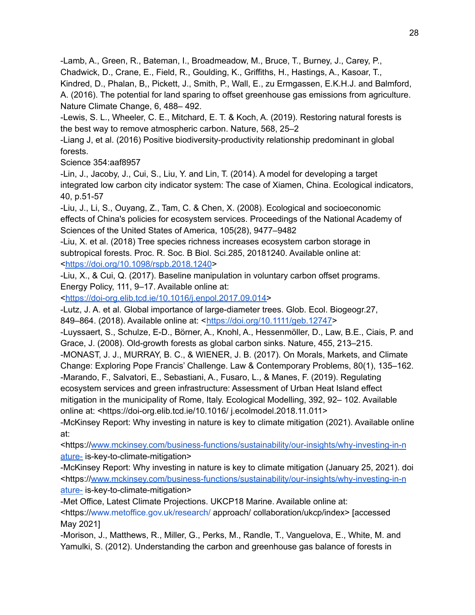-Lamb, A., Green, R., Bateman, I., Broadmeadow, M., Bruce, T., Burney, J., Carey, P.,

Chadwick, D., Crane, E., Field, R., Goulding, K., Griffiths, H., Hastings, A., Kasoar, T.,

Kindred, D., Phalan, B,, Pickett, J., Smith, P., Wall, E., zu Ermgassen, E.K.H.J. and Balmford, A. (2016). The potential for land sparing to offset greenhouse gas emissions from agriculture. Nature Climate Change, 6, 488– 492.

-Lewis, S. L., Wheeler, C. E., Mitchard, E. T. & Koch, A. (2019). Restoring natural forests is the best way to remove atmospheric carbon. Nature, 568, 25–2

-Liang J, et al. (2016) Positive biodiversity-productivity relationship predominant in global forests.

Science 354:aaf8957

-Lin, J., Jacoby, J., Cui, S., Liu, Y. and Lin, T. (2014). A model for developing a target integrated low carbon city indicator system: The case of Xiamen, China. Ecological indicators, 40, p.51-57

-Liu, J., Li, S., Ouyang, Z., Tam, C. & Chen, X. (2008). Ecological and socioeconomic effects of China's policies for ecosystem services. Proceedings of the National Academy of Sciences of the United States of America, 105(28), 9477–9482

-Liu, X. et al. (2018) Tree species richness increases ecosystem carbon storage in subtropical forests. Proc. R. Soc. B Biol. Sci.285, 20181240. Available online at: [<https://doi.org/10.1098/rspb.2018.1240](https://doi.org/10.1098/rspb.2018.1240)>

-Liu, X., & Cui, Q. (2017). Baseline manipulation in voluntary carbon offset programs. Energy Policy, 111, 9–17. Available online at:

[<https://doi-org.elib.tcd.ie/10.1016/j.enpol.2017.09.014>](https://doi-org.elib.tcd.ie/10.1016/j.enpol.2017.09.014)

-Lutz, J. A. et al. Global importance of large-diameter trees. Glob. Ecol. Biogeogr.27, 849–864. (2018). Available online at: <<https://doi.org/10.1111/geb.12747>>

-Luyssaert, S., Schulze, E-D., Börner, A., Knohl, A., Hessenmöller, D., Law, B.E., Ciais, P. and Grace, J. (2008). Old-growth forests as global carbon sinks. Nature, 455, 213–215.

-MONAST, J. J., MURRAY, B. C., & WIENER, J. B. (2017). On Morals, Markets, and Climate Change: Exploring Pope Francis' Challenge. Law & Contemporary Problems, 80(1), 135–162. -Marando, F., Salvatori, E., Sebastiani, A., Fusaro, L., & Manes, F. (2019). Regulating ecosystem services and green infrastructure: Assessment of Urban Heat Island effect mitigation in the municipality of Rome, Italy. Ecological Modelling, 392, 92– 102. Available online at: <https://doi-org.elib.tcd.ie/10.1016/ j.ecolmodel.2018.11.011>

-McKinsey Report: Why investing in nature is key to climate mitigation (2021). Available online at:

<https:/[/www.mckinsey.com/business-functions/sustainability/our-insights/why-investing-in-n](http://www.mckinsey.com/business-functions/sustainability/our-insights/why-investing-in-nature-) [ature-](http://www.mckinsey.com/business-functions/sustainability/our-insights/why-investing-in-nature-) is-key-to-climate-mitigation>

-McKinsey Report: Why investing in nature is key to climate mitigation (January 25, 2021). doi <https:/[/www.mckinsey.com/business-functions/sustainability/our-insights/why-investing-in-n](http://www.mckinsey.com/business-functions/sustainability/our-insights/why-investing-in-nature-) [ature-](http://www.mckinsey.com/business-functions/sustainability/our-insights/why-investing-in-nature-) is-key-to-climate-mitigation>

-Met Office, Latest Climate Projections. UKCP18 Marine. Available online at: <https:/[/www.metoffice.gov.uk/research/](http://www.metoffice.gov.uk/research/) approach/ collaboration/ukcp/index> [accessed May 2021]

-Morison, J., Matthews, R., Miller, G., Perks, M., Randle, T., Vanguelova, E., White, M. and Yamulki, S. (2012). Understanding the carbon and greenhouse gas balance of forests in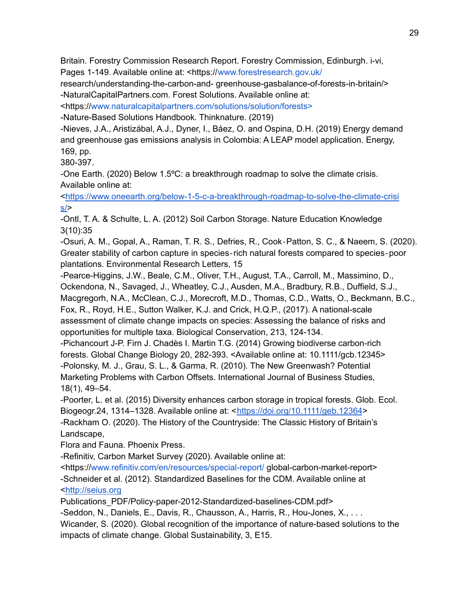Britain. Forestry Commission Research Report. Forestry Commission, Edinburgh. i-vi, Pages 1-149. Available online at: <https://[www.forestresearch.gov.uk/](http://www.forestresearch.gov.uk/)

research/understanding-the-carbon-and- greenhouse-gasbalance-of-forests-in-britain/> -NaturalCapitalPartners.com. Forest Solutions. Available online at:

<https:/[/www.naturalcapitalpartners.com/solutions/solution/forests>](http://www.naturalcapitalpartners.com/solutions/solution/forests)

-Nature-Based Solutions Handbook. Thinknature. (2019)

-Nieves, J.A., Aristizábal, A.J., Dyner, I., Báez, O. and Ospina, D.H. (2019) Energy demand and greenhouse gas emissions analysis in Colombia: A LEAP model application. Energy, 169, pp.

380-397.

-One Earth. (2020) Below 1.5ºC: a breakthrough roadmap to solve the climate crisis. Available online at:

[<https://www.oneearth.org/below-1-5-c-a-breakthrough-roadmap-to-solve-the-climate-crisi](https://www.oneearth.org/below-1-5-c-a-breakthrough-roadmap-to-solve-the-climate-crisis/)  $s$ 

-Ontl, T. A. & Schulte, L. A. (2012) Soil Carbon Storage. Nature Education Knowledge 3(10):35

-Osuri, A. M., Gopal, A., Raman, T. R. S., Defries, R., Cook‐Patton, S. C., & Naeem, S. (2020). Greater stability of carbon capture in species‐rich natural forests compared to species‐poor plantations. Environmental Research Letters, 15

-Pearce-Higgins, J.W., Beale, C.M., Oliver, T.H., August, T.A., Carroll, M., Massimino, D., Ockendona, N., Savaged, J., Wheatley, C.J., Ausden, M.A., Bradbury, R.B., Duffield, S.J., Macgregorh, N.A., McClean, C.J., Morecroft, M.D., Thomas, C.D., Watts, O., Beckmann, B.C., Fox, R., Royd, H.E., Sutton Walker, K.J. and Crick, H.Q.P., (2017). A national-scale assessment of climate change impacts on species: Assessing the balance of risks and opportunities for multiple taxa. Biological Conservation, 213, 124-134.

-Pichancourt J-P. Firn J. Chadès I. Martin T.G. (2014) Growing biodiverse carbon-rich forests. Global Change Biology 20, 282-393. <Available online at: 10.1111/gcb.12345> -Polonsky, M. J., Grau, S. L., & Garma, R. (2010). The New Greenwash? Potential Marketing Problems with Carbon Offsets. International Journal of Business Studies, 18(1), 49–54.

-Poorter, L. et al. (2015) Diversity enhances carbon storage in tropical forests. Glob. Ecol. Biogeogr.24, 1314–1328. Available online at: <<https://doi.org/10.1111/geb.12364>>

-Rackham O. (2020). The History of the Countryside: The Classic History of Britain's Landscape,

Flora and Fauna. Phoenix Press.

-Refinitiv, Carbon Market Survey (2020). Available online at:

<https:/[/www.refinitiv.com/en/resources/special-report/](http://www.refinitiv.com/en/resources/special-report/) global-carbon-market-report> -Schneider et al. (2012). Standardized Baselines for the CDM. Available online at [<http://seius.org](http://seius.org/)

Publications\_PDF/Policy-paper-2012-Standardized-baselines-CDM.pdf>

-Seddon, N., Daniels, E., Davis, R., Chausson, A., Harris, R., Hou-Jones, X., . . .

Wicander, S. (2020). Global recognition of the importance of nature-based solutions to the impacts of climate change. Global Sustainability, 3, E15.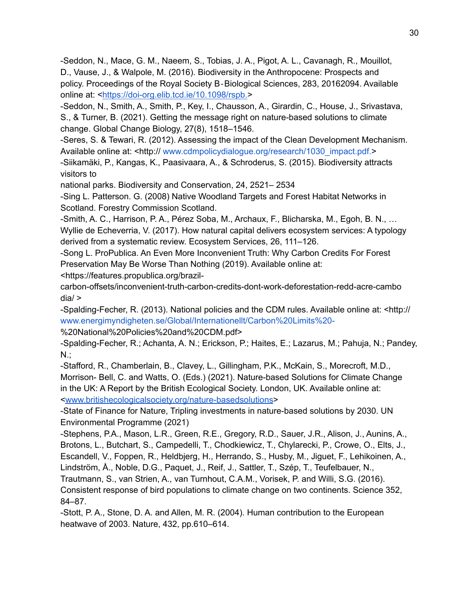-Seddon, N., Mace, G. M., Naeem, S., Tobias, J. A., Pigot, A. L., Cavanagh, R., Mouillot, D., Vause, J., & Walpole, M. (2016). Biodiversity in the Anthropocene: Prospects and policy. Proceedings of the Royal Society B‐Biological Sciences, 283, 20162094. Available online at: [<https://doi-org.elib.tcd.ie/10.1098/rspb.](https://doi-org.elib.tcd.ie/10.1098/rspb.)>

-Seddon, N., Smith, A., Smith, P., Key, I., Chausson, A., Girardin, C., House, J., Srivastava, S., & Turner, B. (2021). Getting the message right on nature-based solutions to climate change. Global Change Biology, 27(8), 1518–1546.

-Seres, S. & Tewari, R. (2012). Assessing the impact of the Clean Development Mechanism. Available online at: <http:// [www.cdmpolicydialogue.org/research/1030\\_impact.pdf.>](http://www.cdmpolicydialogue.org/research/1030_impact.pdf)

-Siikamäki, P., Kangas, K., Paasivaara, A., & Schroderus, S. (2015). Biodiversity attracts visitors to

national parks. Biodiversity and Conservation, 24, 2521– 2534

-Sing L. Patterson. G. (2008) Native Woodland Targets and Forest Habitat Networks in Scotland. Forestry Commission Scotland.

-Smith, A. C., Harrison, P. A., Pérez Soba, M., Archaux, F., Blicharska, M., Egoh, B. N., … Wyllie de Echeverria, V. (2017). How natural capital delivers ecosystem services: A typology derived from a systematic review. Ecosystem Services, 26, 111–126.

-Song L. ProPublica. An Even More Inconvenient Truth: Why Carbon Credits For Forest Preservation May Be Worse Than Nothing (2019). Available online at:

<https://features.propublica.org/brazil-

carbon-offsets/inconvenient-truth-carbon-credits-dont-work-deforestation-redd-acre-cambo  $dia$ 

-Spalding-Fecher, R. (2013). National policies and the CDM rules. Available online at: <http:// [www.energimyndigheten.se/Global/Internationellt/Carbon%20Limits%20-](http://www.energimyndigheten.se/Global/Internationellt/Carbon%2520Limits%2520-)

%20National%20Policies%20and%20CDM.pdf>

-Spalding-Fecher, R.; Achanta, A. N.; Erickson, P.; Haites, E.; Lazarus, M.; Pahuja, N.; Pandey, N.;

-Stafford, R., Chamberlain, B., Clavey, L., Gillingham, P.K., McKain, S., Morecroft, M.D., Morrison- Bell, C. and Watts, O. (Eds.) (2021). Nature-based Solutions for Climate Change in the UK: A Report by the British Ecological Society. London, UK. Available online at: [<www.britishecologicalsociety.org/nature-basedsolutions](http://www.britishecologicalsociety.org/nature-basedsolutions)>

-State of Finance for Nature, Tripling investments in nature-based solutions by 2030. UN Environmental Programme (2021)

-Stephens, P.A., Mason, L.R., Green, R.E., Gregory, R.D., Sauer, J.R., Alison, J., Aunins, A., Brotons, L., Butchart, S., Campedelli, T., Chodkiewicz, T., Chylarecki, P., Crowe, O., Elts, J., Escandell, V., Foppen, R., Heldbjerg, H., Herrando, S., Husby, M., Jiguet, F., Lehikoinen, A.,

Lindström, Å., Noble, D.G., Paquet, J., Reif, J., Sattler, T., Szép, T., Teufelbauer, N.,

Trautmann, S., van Strien, A., van Turnhout, C.A.M., Vorisek, P. and Willi, S.G. (2016).

Consistent response of bird populations to climate change on two continents. Science 352, 84–87.

-Stott, P. A., Stone, D. A. and Allen, M. R. (2004). Human contribution to the European heatwave of 2003. Nature, 432, pp.610–614.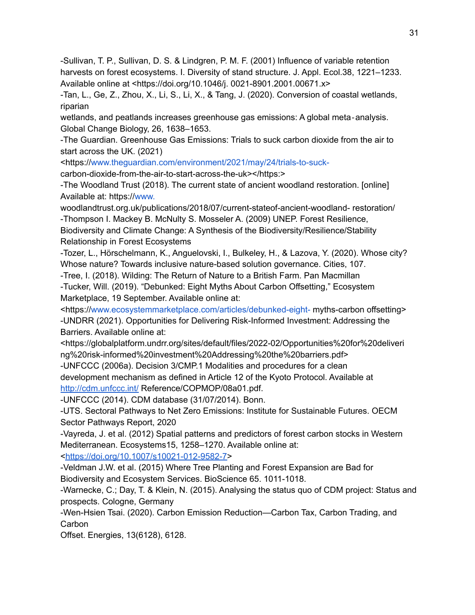-Sullivan, T. P., Sullivan, D. S. & Lindgren, P. M. F. (2001) Influence of variable retention harvests on forest ecosystems. I. Diversity of stand structure. J. Appl. Ecol.38, 1221–1233. Available online at <https://doi.org/10.1046/j. 0021-8901.2001.00671.x>

-Tan, L., Ge, Z., Zhou, X., Li, S., Li, X., & Tang, J. (2020). Conversion of coastal wetlands, riparian

wetlands, and peatlands increases greenhouse gas emissions: A global meta‐analysis. Global Change Biology, 26, 1638–1653.

-The Guardian. Greenhouse Gas Emissions: Trials to suck carbon dioxide from the air to start across the UK. (2021)

<https:/[/www.theguardian.com/environment/2021/may/24/trials-to-suck-](http://www.theguardian.com/environment/2021/may/24/trials-to-suck-)

carbon-dioxide-from-the-air-to-start-across-the-uk></https:>

-The Woodland Trust (2018). The current state of ancient woodland restoration. [online] Available at: https://[www.](http://www/)

woodlandtrust.org.uk/publications/2018/07/current-stateof-ancient-woodland- restoration/ -Thompson I. Mackey B. McNulty S. Mosseler A. (2009) UNEP. Forest Resilience,

Biodiversity and Climate Change: A Synthesis of the Biodiversity/Resilience/Stability Relationship in Forest Ecosystems

-Tozer, L., Hörschelmann, K., Anguelovski, I., Bulkeley, H., & Lazova, Y. (2020). Whose city? Whose nature? Towards inclusive nature-based solution governance. Cities, 107.

-Tree, I. (2018). Wilding: The Return of Nature to a British Farm. Pan Macmillan

-Tucker, Will. (2019). "Debunked: Eight Myths About Carbon Offsetting," Ecosystem Marketplace, 19 September. Available online at:

<https:/[/www.ecosystemmarketplace.com/articles/debunked-eight-](http://www.ecosystemmarketplace.com/articles/debunked-eight-) myths-carbon offsetting> -UNDRR (2021). Opportunities for Delivering Risk-Informed Investment: Addressing the Barriers. Available online at:

<https://globalplatform.undrr.org/sites/default/files/2022-02/Opportunities%20for%20deliveri ng%20risk-informed%20investment%20Addressing%20the%20barriers.pdf>

-UNFCCC (2006a). Decision 3/CMP.1 Modalities and procedures for a clean development mechanism as defined in Article 12 of the Kyoto Protocol. Available at <http://cdm.unfccc.int/> Reference/COPMOP/08a01.pdf.

-UNFCCC (2014). CDM database (31/07/2014). Bonn.

-UTS. Sectoral Pathways to Net Zero Emissions: Institute for Sustainable Futures. OECM Sector Pathways Report, 2020

-Vayreda, J. et al. (2012) Spatial patterns and predictors of forest carbon stocks in Western Mediterranean. Ecosystems15, 1258–1270. Available online at:

[<https://doi.org/10.1007/s10021-012-9582-7>](https://doi.org/10.1007/s10021-012-9582-7)

-Veldman J.W. et al. (2015) Where Tree Planting and Forest Expansion are Bad for Biodiversity and Ecosystem Services. BioScience 65. 1011-1018.

-Warnecke, C.; Day, T. & Klein, N. (2015). Analysing the status quo of CDM project: Status and prospects. Cologne, Germany

-Wen-Hsien Tsai. (2020). Carbon Emission Reduction—Carbon Tax, Carbon Trading, and Carbon

Offset. Energies, 13(6128), 6128.